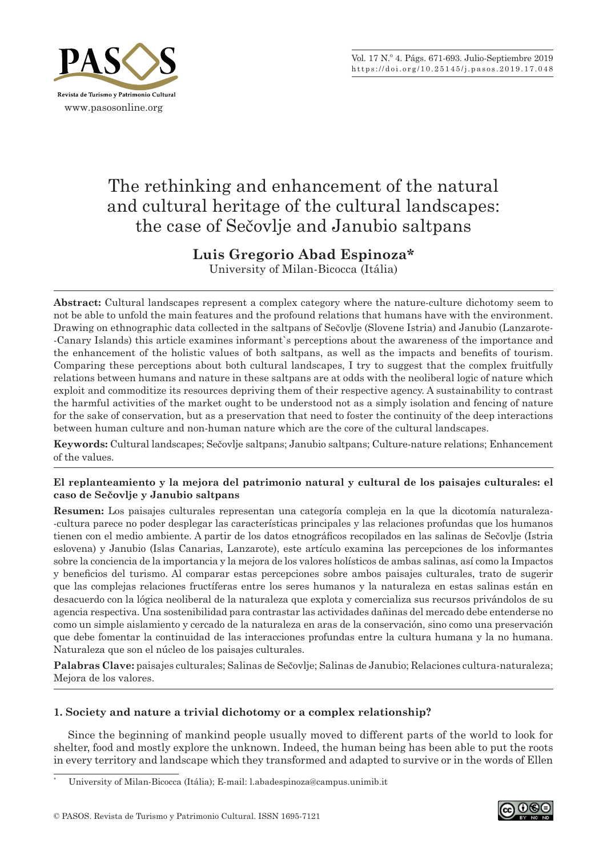

# The rethinking and enhancement of the natural and cultural heritage of the cultural landscapes: the case of Sečovlje and Janubio saltpans

# **Luis Gregorio Abad Espinoza\***

University of Milan‑Bicocca (Itália)

**Abstract:** Cultural landscapes represent a complex category where the nature‑culture dichotomy seem to not be able to unfold the main features and the profound relations that humans have with the environment. Drawing on ethnographic data collected in the saltpans of Sečovlje (Slovene Istria) and Janubio (Lanzarote– ‑Canary Islands) this article examines informant`s perceptions about the awareness of the importance and the enhancement of the holistic values of both saltpans, as well as the impacts and benefits of tourism. Comparing these perceptions about both cultural landscapes, I try to suggest that the complex fruitfully relations between humans and nature in these saltpans are at odds with the neoliberal logic of nature which exploit and commoditize its resources depriving them of their respective agency. A sustainability to contrast the harmful activities of the market ought to be understood not as a simply isolation and fencing of nature for the sake of conservation, but as a preservation that need to foster the continuity of the deep interactions between human culture and non‑human nature which are the core of the cultural landscapes.

**Keywords:** Cultural landscapes; Sečovlje saltpans; Janubio saltpans; Culture‑nature relations; Enhancement of the values.

## **El replanteamiento y la mejora del patrimonio natural y cultural de los paisajes culturales: el caso de Sečovlje y Janubio saltpans**

**Resumen:** Los paisajes culturales representan una categoría compleja en la que la dicotomía naturaleza‑ ‑cultura parece no poder desplegar las características principales y las relaciones profundas que los humanos tienen con el medio ambiente. A partir de los datos etnográficos recopilados en las salinas de Sečovlje (Istria eslovena) y Janubio (Islas Canarias, Lanzarote), este artículo examina las percepciones de los informantes sobre la conciencia de la importancia y la mejora de los valores holísticos de ambas salinas, así como la Impactos y beneficios del turismo. Al comparar estas percepciones sobre ambos paisajes culturales, trato de sugerir que las complejas relaciones fructíferas entre los seres humanos y la naturaleza en estas salinas están en desacuerdo con la lógica neoliberal de la naturaleza que explota y comercializa sus recursos privándolos de su agencia respectiva. Una sostenibilidad para contrastar las actividades dañinas del mercado debe entenderse no como un simple aislamiento y cercado de la naturaleza en aras de la conservación, sino como una preservación que debe fomentar la continuidad de las interacciones profundas entre la cultura humana y la no humana. Naturaleza que son el núcleo de los paisajes culturales.

**Palabras Clave:** paisajes culturales; Salinas de Sečovlje; Salinas de Janubio; Relaciones cultura‑naturaleza; Mejora de los valores.

## **1. Society and nature a trivial dichotomy or a complex relationship?**

Since the beginning of mankind people usually moved to different parts of the world to look for shelter, food and mostly explore the unknown. Indeed, the human being has been able to put the roots in every territory and landscape which they transformed and adapted to survive or in the words of Ellen

University of Milan‑Bicocca (Itália); E‑mail: l.abadespinoza@campus.unimib.it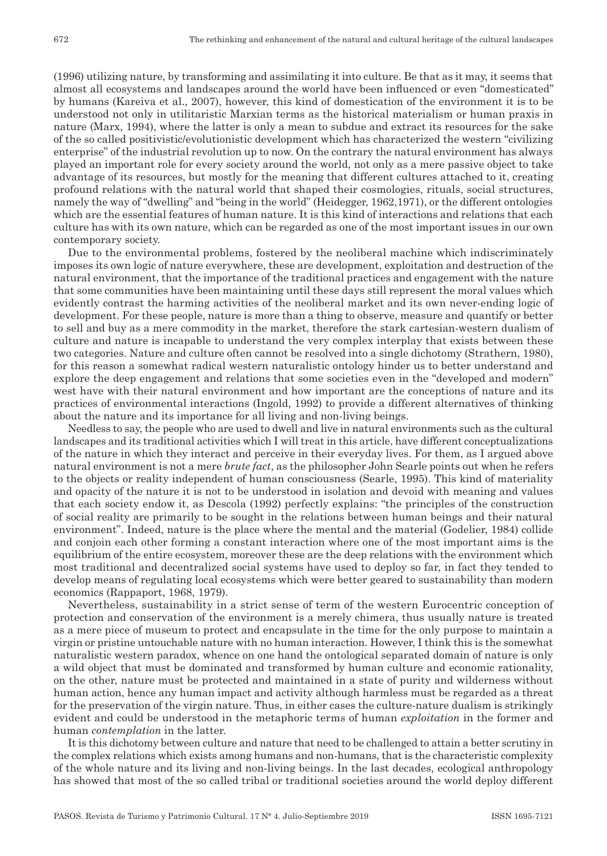(1996) utilizing nature, by transforming and assimilating it into culture. Be that as it may, it seems that almost all ecosystems and landscapes around the world have been influenced or even ''domesticated'' by humans (Kareiva et al., 2007), however, this kind of domestication of the environment it is to be understood not only in utilitaristic Marxian terms as the historical materialism or human praxis in nature (Marx, 1994), where the latter is only a mean to subdue and extract its resources for the sake of the so called positivistic/evolutionistic development which has characterized the western "civilizing enterprise" of the industrial revolution up to now. On the contrary the natural environment has always played an important role for every society around the world, not only as a mere passive object to take advantage of its resources, but mostly for the meaning that different cultures attached to it, creating profound relations with the natural world that shaped their cosmologies, rituals, social structures, namely the way of "dwelling" and "being in the world" (Heidegger, 1962,1971), or the different ontologies which are the essential features of human nature. It is this kind of interactions and relations that each culture has with its own nature, which can be regarded as one of the most important issues in our own contemporary society.

Due to the environmental problems, fostered by the neoliberal machine which indiscriminately imposes its own logic of nature everywhere, these are development, exploitation and destruction of the natural environment, that the importance of the traditional practices and engagement with the nature that some communities have been maintaining until these days still represent the moral values which evidently contrast the harming activities of the neoliberal market and its own never-ending logic of development. For these people, nature is more than a thing to observe, measure and quantify or better to sell and buy as a mere commodity in the market, therefore the stark cartesian‑western dualism of culture and nature is incapable to understand the very complex interplay that exists between these two categories. Nature and culture often cannot be resolved into a single dichotomy (Strathern, 1980), for this reason a somewhat radical western naturalistic ontology hinder us to better understand and explore the deep engagement and relations that some societies even in the "developed and modern" west have with their natural environment and how important are the conceptions of nature and its practices of environmental interactions (Ingold, 1992) to provide a different alternatives of thinking about the nature and its importance for all living and non‑living beings.

Needless to say, the people who are used to dwell and live in natural environments such as the cultural landscapes and its traditional activities which I will treat in this article, have different conceptualizations of the nature in which they interact and perceive in their everyday lives. For them, as I argued above natural environment is not a mere *brute fact*, as the philosopher John Searle points out when he refers to the objects or reality independent of human consciousness (Searle, 1995). This kind of materiality and opacity of the nature it is not to be understood in isolation and devoid with meaning and values that each society endow it, as Descola (1992) perfectly explains: "the principles of the construction of social reality are primarily to be sought in the relations between human beings and their natural environment". Indeed, nature is the place where the mental and the material (Godelier, 1984) collide and conjoin each other forming a constant interaction where one of the most important aims is the equilibrium of the entire ecosystem, moreover these are the deep relations with the environment which most traditional and decentralized social systems have used to deploy so far, in fact they tended to develop means of regulating local ecosystems which were better geared to sustainability than modern economics (Rappaport, 1968, 1979).

Nevertheless, sustainability in a strict sense of term of the western Eurocentric conception of protection and conservation of the environment is a merely chimera, thus usually nature is treated as a mere piece of museum to protect and encapsulate in the time for the only purpose to maintain a virgin or pristine untouchable nature with no human interaction. However, I think this is the somewhat naturalistic western paradox, whence on one hand the ontological separated domain of nature is only a wild object that must be dominated and transformed by human culture and economic rationality, on the other, nature must be protected and maintained in a state of purity and wilderness without human action, hence any human impact and activity although harmless must be regarded as a threat for the preservation of the virgin nature. Thus, in either cases the culture-nature dualism is strikingly evident and could be understood in the metaphoric terms of human *exploitation* in the former and human *contemplation* in the latter.

It is this dichotomy between culture and nature that need to be challenged to attain a better scrutiny in the complex relations which exists among humans and non‑humans, that is the characteristic complexity of the whole nature and its living and non‑living beings. In the last decades, ecological anthropology has showed that most of the so called tribal or traditional societies around the world deploy different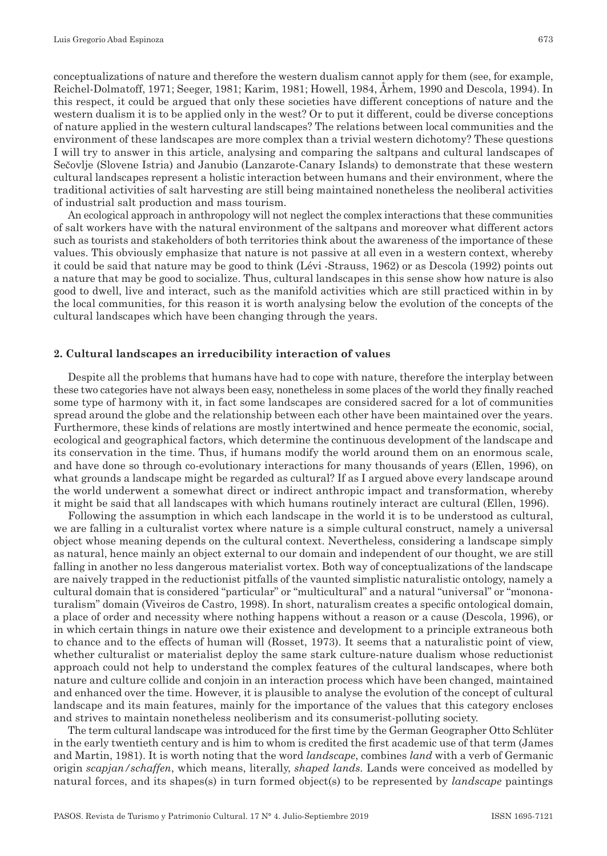conceptualizations of nature and therefore the western dualism cannot apply for them (see, for example, Reichel‑Dolmatoff, 1971; Seeger, 1981; Karim, 1981; Howell, 1984, Århem, 1990 and Descola, 1994). In this respect, it could be argued that only these societies have different conceptions of nature and the western dualism it is to be applied only in the west? Or to put it different, could be diverse conceptions of nature applied in the western cultural landscapes? The relations between local communities and the environment of these landscapes are more complex than a trivial western dichotomy? These questions I will try to answer in this article, analysing and comparing the saltpans and cultural landscapes of Sečovlje (Slovene Istria) and Janubio (Lanzarote‑Canary Islands) to demonstrate that these western cultural landscapes represent a holistic interaction between humans and their environment, where the traditional activities of salt harvesting are still being maintained nonetheless the neoliberal activities of industrial salt production and mass tourism.

An ecological approach in anthropology will not neglect the complex interactions that these communities of salt workers have with the natural environment of the saltpans and moreover what different actors such as tourists and stakeholders of both territories think about the awareness of the importance of these values. This obviously emphasize that nature is not passive at all even in a western context, whereby it could be said that nature may be good to think (Lévi ‑Strauss, 1962) or as Descola (1992) points out a nature that may be good to socialize. Thus, cultural landscapes in this sense show how nature is also good to dwell, live and interact, such as the manifold activities which are still practiced within in by the local communities, for this reason it is worth analysing below the evolution of the concepts of the cultural landscapes which have been changing through the years.

#### **2. Cultural landscapes an irreducibility interaction of values**

Despite all the problems that humans have had to cope with nature, therefore the interplay between these two categories have not always been easy, nonetheless in some places of the world they finally reached some type of harmony with it, in fact some landscapes are considered sacred for a lot of communities spread around the globe and the relationship between each other have been maintained over the years. Furthermore, these kinds of relations are mostly intertwined and hence permeate the economic, social, ecological and geographical factors, which determine the continuous development of the landscape and its conservation in the time. Thus, if humans modify the world around them on an enormous scale, and have done so through co-evolutionary interactions for many thousands of years (Ellen, 1996), on what grounds a landscape might be regarded as cultural? If as I argued above every landscape around the world underwent a somewhat direct or indirect anthropic impact and transformation, whereby it might be said that all landscapes with which humans routinely interact are cultural (Ellen, 1996).

Following the assumption in which each landscape in the world it is to be understood as cultural, we are falling in a culturalist vortex where nature is a simple cultural construct, namely a universal object whose meaning depends on the cultural context. Nevertheless, considering a landscape simply as natural, hence mainly an object external to our domain and independent of our thought, we are still falling in another no less dangerous materialist vortex. Both way of conceptualizations of the landscape are naively trapped in the reductionist pitfalls of the vaunted simplistic naturalistic ontology, namely a cultural domain that is considered "particular" or "multicultural" and a natural "universal" or "mononaturalism" domain (Viveiros de Castro, 1998). In short, naturalism creates a specific ontological domain, a place of order and necessity where nothing happens without a reason or a cause (Descola, 1996), or in which certain things in nature owe their existence and development to a principle extraneous both to chance and to the effects of human will (Rosset, 1973). It seems that a naturalistic point of view, whether culturalist or materialist deploy the same stark culture–nature dualism whose reductionist approach could not help to understand the complex features of the cultural landscapes, where both nature and culture collide and conjoin in an interaction process which have been changed, maintained and enhanced over the time. However, it is plausible to analyse the evolution of the concept of cultural landscape and its main features, mainly for the importance of the values that this category encloses and strives to maintain nonetheless neoliberism and its consumerist-polluting society.

The term cultural landscape was introduced for the first time by the German Geographer Otto Schlüter in the early twentieth century and is him to whom is credited the first academic use of that term (James and Martin, 1981). It is worth noting that the word *landscape*, combines *land* with a verb of Germanic origin *scapjan/schaffen*, which means, literally, *shaped lands.* Lands were conceived as modelled by natural forces, and its shapes(s) in turn formed object(s) to be represented by *landscape* paintings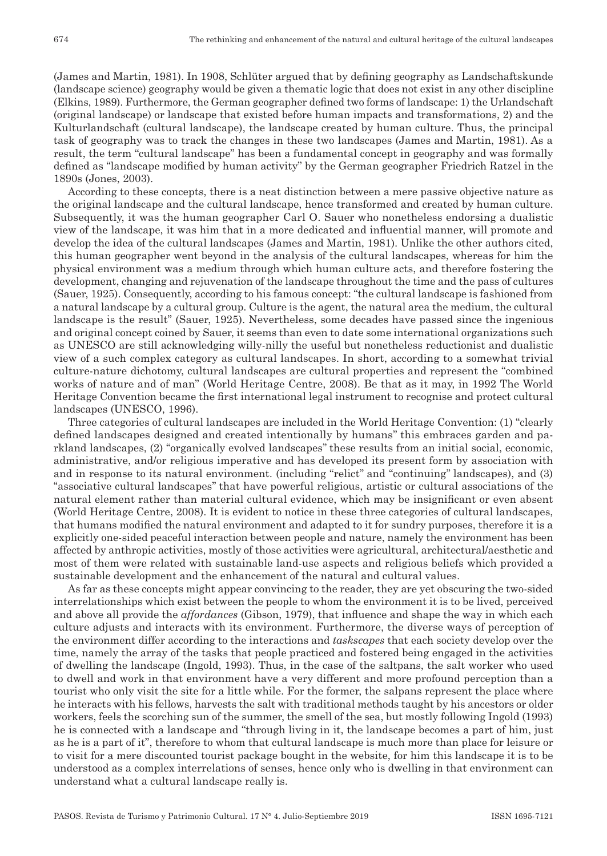(James and Martin, 1981). In 1908, Schlüter argued that by defining geography as Landschaftskunde (landscape science) geography would be given a thematic logic that does not exist in any other discipline (Elkins, 1989). Furthermore, the German geographer defined two forms of landscape: 1) the Urlandschaft (original landscape) or landscape that existed before human impacts and transformations, 2) and the Kulturlandschaft (cultural landscape), the landscape created by human culture. Thus, the principal task of geography was to track the changes in these two landscapes (James and Martin, 1981). As a result, the term "cultural landscape" has been a fundamental concept in geography and was formally defined as "landscape modified by human activity" by the German geographer Friedrich Ratzel in the 1890s (Jones, 2003).

According to these concepts, there is a neat distinction between a mere passive objective nature as the original landscape and the cultural landscape, hence transformed and created by human culture. Subsequently, it was the human geographer Carl O. Sauer who nonetheless endorsing a dualistic view of the landscape, it was him that in a more dedicated and influential manner, will promote and develop the idea of the cultural landscapes (James and Martin, 1981). Unlike the other authors cited, this human geographer went beyond in the analysis of the cultural landscapes, whereas for him the physical environment was a medium through which human culture acts, and therefore fostering the development, changing and rejuvenation of the landscape throughout the time and the pass of cultures (Sauer, 1925). Consequently, according to his famous concept: "the cultural landscape is fashioned from a natural landscape by a cultural group. Culture is the agent, the natural area the medium, the cultural landscape is the result" (Sauer, 1925). Nevertheless, some decades have passed since the ingenious and original concept coined by Sauer, it seems than even to date some international organizations such as UNESCO are still acknowledging willy‑nilly the useful but nonetheless reductionist and dualistic view of a such complex category as cultural landscapes. In short, according to a somewhat trivial culture‑nature dichotomy, cultural landscapes are cultural properties and represent the "combined works of nature and of man" (World Heritage Centre, 2008). Be that as it may, in 1992 The World Heritage Convention became the first international legal instrument to recognise and protect cultural landscapes (UNESCO, 1996).

Three categories of cultural landscapes are included in the World Heritage Convention: (1) ''clearly defined landscapes designed and created intentionally by humans" this embraces garden and pa rkland landscapes, (2) ''organically evolved landscapes'' these results from an initial social, economic, administrative, and/or religious imperative and has developed its present form by association with and in response to its natural environment. (including "relict" and "continuing" landscapes), and (3) ''associative cultural landscapes'' that have powerful religious, artistic or cultural associations of the natural element rather than material cultural evidence, which may be insignificant or even absent (World Heritage Centre, 2008). It is evident to notice in these three categories of cultural landscapes, that humans modified the natural environment and adapted to it for sundry purposes, therefore it is a explicitly one‑sided peaceful interaction between people and nature, namely the environment has been affected by anthropic activities, mostly of those activities were agricultural, architectural/aesthetic and most of them were related with sustainable land‑use aspects and religious beliefs which provided a sustainable development and the enhancement of the natural and cultural values.

As far as these concepts might appear convincing to the reader, they are yet obscuring the two-sided interrelationships which exist between the people to whom the environment it is to be lived, perceived and above all provide the *affordances* (Gibson, 1979), that influence and shape the way in which each culture adjusts and interacts with its environment. Furthermore, the diverse ways of perception of the environment differ according to the interactions and *taskscapes* that each society develop over the time, namely the array of the tasks that people practiced and fostered being engaged in the activities of dwelling the landscape (Ingold, 1993). Thus, in the case of the saltpans, the salt worker who used to dwell and work in that environment have a very different and more profound perception than a tourist who only visit the site for a little while. For the former, the salpans represent the place where he interacts with his fellows, harvests the salt with traditional methods taught by his ancestors or older workers, feels the scorching sun of the summer, the smell of the sea, but mostly following Ingold (1993) he is connected with a landscape and "through living in it, the landscape becomes a part of him, just as he is a part of it", therefore to whom that cultural landscape is much more than place for leisure or to visit for a mere discounted tourist package bought in the website, for him this landscape it is to be understood as a complex interrelations of senses, hence only who is dwelling in that environment can understand what a cultural landscape really is.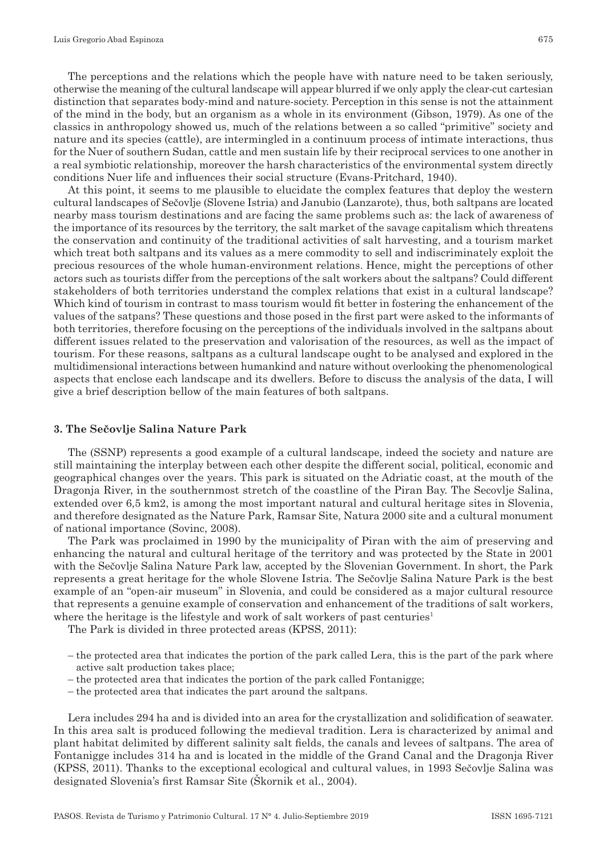The perceptions and the relations which the people have with nature need to be taken seriously, otherwise the meaning of the cultural landscape will appear blurred if we only apply the clear‑cut cartesian distinction that separates body‑mind and nature‑society. Perception in this sense is not the attainment of the mind in the body, but an organism as a whole in its environment (Gibson, 1979). As one of the classics in anthropology showed us, much of the relations between a so called "primitive" society and nature and its species (cattle), are intermingled in a continuum process of intimate interactions, thus for the Nuer of southern Sudan, cattle and men sustain life by their reciprocal services to one another in a real symbiotic relationship, moreover the harsh characteristics of the environmental system directly conditions Nuer life and influences their social structure (Evans‑Pritchard, 1940).

At this point, it seems to me plausible to elucidate the complex features that deploy the western cultural landscapes of Sečovlje (Slovene Istria) and Janubio (Lanzarote), thus, both saltpans are located nearby mass tourism destinations and are facing the same problems such as: the lack of awareness of the importance of its resources by the territory, the salt market of the savage capitalism which threatens the conservation and continuity of the traditional activities of salt harvesting, and a tourism market which treat both saltpans and its values as a mere commodity to sell and indiscriminately exploit the precious resources of the whole human‑environment relations. Hence, might the perceptions of other actors such as tourists differ from the perceptions of the salt workers about the saltpans? Could different stakeholders of both territories understand the complex relations that exist in a cultural landscape? Which kind of tourism in contrast to mass tourism would fit better in fostering the enhancement of the values of the satpans? These questions and those posed in the first part were asked to the informants of both territories, therefore focusing on the perceptions of the individuals involved in the saltpans about different issues related to the preservation and valorisation of the resources, as well as the impact of tourism. For these reasons, saltpans as a cultural landscape ought to be analysed and explored in the multidimensional interactions between humankind and nature without overlooking the phenomenological aspects that enclose each landscape and its dwellers. Before to discuss the analysis of the data, I will give a brief description bellow of the main features of both saltpans.

#### **3. The Sečovlje Salina Nature Park**

The (SSNP) represents a good example of a cultural landscape, indeed the society and nature are still maintaining the interplay between each other despite the different social, political, economic and geographical changes over the years. This park is situated on the Adriatic coast, at the mouth of the Dragonja River, in the southernmost stretch of the coastline of the Piran Bay. The Secovlje Salina, extended over 6,5 km2, is among the most important natural and cultural heritage sites in Slovenia, and therefore designated as the Nature Park, Ramsar Site, Natura 2000 site and a cultural monument of national importance (Sovinc, 2008).

The Park was proclaimed in 1990 by the municipality of Piran with the aim of preserving and enhancing the natural and cultural heritage of the territory and was protected by the State in 2001 with the Sečovlje Salina Nature Park law, accepted by the Slovenian Government. In short, the Park represents a great heritage for the whole Slovene Istria. The Sečovlje Salina Nature Park is the best example of an "open-air museum" in Slovenia, and could be considered as a major cultural resource that represents a genuine example of conservation and enhancement of the traditions of salt workers, where the heritage is the lifestyle and work of salt workers of past centuries<sup>1</sup>

The Park is divided in three protected areas (KPSS, 2011):

- the protected area that indicates the portion of the park called Lera, this is the part of the park where active salt production takes place;
- the protected area that indicates the portion of the park called Fontanigge;
- the protected area that indicates the part around the saltpans.

Lera includes 294 ha and is divided into an area for the crystallization and solidification of seawater. In this area salt is produced following the medieval tradition. Lera is characterized by animal and plant habitat delimited by different salinity salt fields, the canals and levees of saltpans. The area of Fontanigge includes 314 ha and is located in the middle of the Grand Canal and the Dragonja River (KPSS, 2011). Thanks to the exceptional ecological and cultural values, in 1993 Sečovlje Salina was designated Slovenia's first Ramsar Site (Škornik et al., 2004).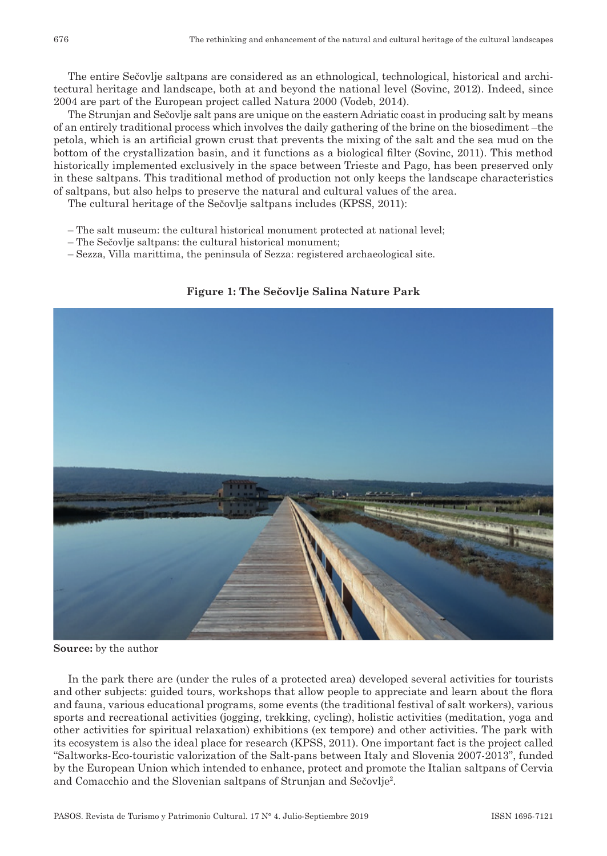The entire Sečovlje saltpans are considered as an ethnological, technological, historical and architectural heritage and landscape, both at and beyond the national level (Sovinc, 2012). Indeed, since 2004 are part of the European project called Natura 2000 (Vodeb, 2014).

The Strunjan and Sečovlje salt pans are unique on the eastern Adriatic coast in producing salt by means of an entirely traditional process which involves the daily gathering of the brine on the biosediment –the petola, which is an artificial grown crust that prevents the mixing of the salt and the sea mud on the bottom of the crystallization basin, and it functions as a biological filter (Sovinc, 2011). This method historically implemented exclusively in the space between Trieste and Pago, has been preserved only in these saltpans. This traditional method of production not only keeps the landscape characteristics of saltpans, but also helps to preserve the natural and cultural values of the area.

The cultural heritage of the Sečovlje saltpans includes (KPSS, 2011):

- The salt museum: the cultural historical monument protected at national level;
- The Sečovlje saltpans: the cultural historical monument;
- Sezza, Villa marittima, the peninsula of Sezza: registered archaeological site.

**Figure 1: The Sečovlje Salina Nature Park**

In the park there are (under the rules of a protected area) developed several activities for tourists and other subjects: guided tours, workshops that allow people to appreciate and learn about the flora and fauna, various educational programs, some events (the traditional festival of salt workers), various sports and recreational activities (jogging, trekking, cycling), holistic activities (meditation, yoga and other activities for spiritual relaxation) exhibitions (ex tempore) and other activities. The park with its ecosystem is also the ideal place for research (KPSS, 2011). One important fact is the project called "Saltworks‑Eco‑touristic valorization of the Salt‑pans between Italy and Slovenia 2007‑2013", funded by the European Union which intended to enhance, protect and promote the Italian saltpans of Cervia and Comacchio and the Slovenian saltpans of Strunjan and Sečovlje2 .

**Source:** by the author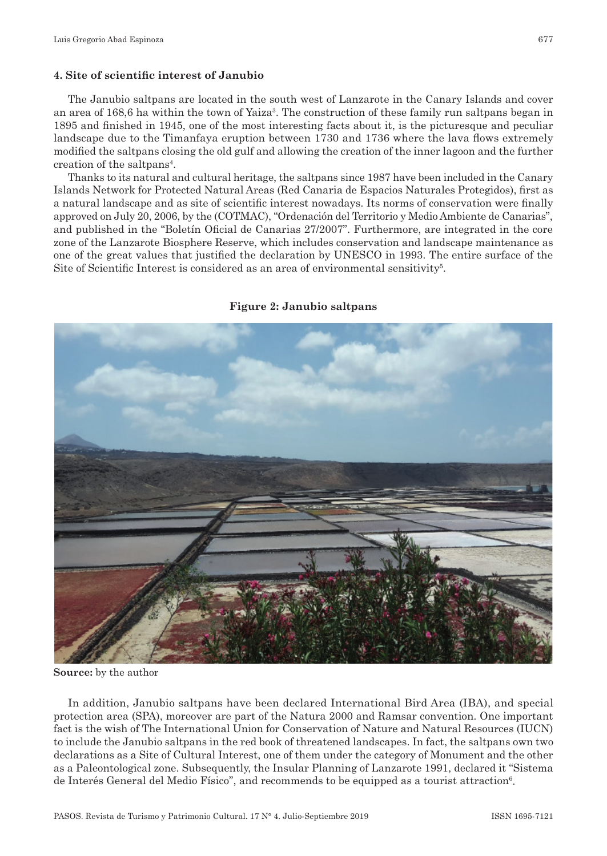#### **4. Site of scientific interest of Janubio**

The Janubio saltpans are located in the south west of Lanzarote in the Canary Islands and cover an area of 168,6 ha within the town of Yaiza<sup>3</sup>. The construction of these family run saltpans began in 1895 and finished in 1945, one of the most interesting facts about it, is the picturesque and peculiar landscape due to the Timanfaya eruption between 1730 and 1736 where the lava flows extremely modified the saltpans closing the old gulf and allowing the creation of the inner lagoon and the further creation of the saltpans4 .

Thanks to its natural and cultural heritage, the saltpans since 1987 have been included in the Canary Islands Network for Protected Natural Areas (Red Canaria de Espacios Naturales Protegidos), first as a natural landscape and as site of scientific interest nowadays. Its norms of conservation were finally approved on July 20, 2006, by the (COTMAC), "Ordenación del Territorio y Medio Ambiente de Canarias", and published in the "Boletín Oficial de Canarias 27/2007". Furthermore, are integrated in the core zone of the Lanzarote Biosphere Reserve, which includes conservation and landscape maintenance as one of the great values that justified the declaration by UNESCO in 1993. The entire surface of the Site of Scientific Interest is considered as an area of environmental sensitivity<sup>5</sup>.

#### **Figure 2: Janubio saltpans**



**Source:** by the author

In addition, Janubio saltpans have been declared International Bird Area (IBA), and special protection area (SPA), moreover are part of the Natura 2000 and Ramsar convention. One important fact is the wish of The International Union for Conservation of Nature and Natural Resources (IUCN) to include the Janubio saltpans in the red book of threatened landscapes. In fact, the saltpans own two declarations as a Site of Cultural Interest, one of them under the category of Monument and the other as a Paleontological zone. Subsequently, the Insular Planning of Lanzarote 1991, declared it "Sistema de Interés General del Medio Físico", and recommends to be equipped as a tourist attraction<sup>6</sup>.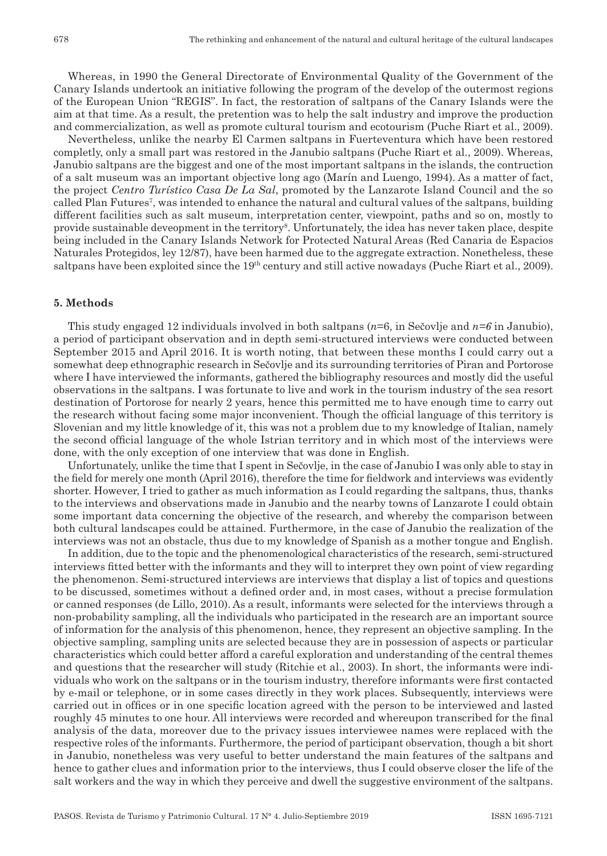Whereas, in 1990 the General Directorate of Environmental Quality of the Government of the Canary Islands undertook an initiative following the program of the develop of the outermost regions of the European Union "REGIS". In fact, the restoration of saltpans of the Canary Islands were the aim at that time. As a result, the pretention was to help the salt industry and improve the production and commercialization, as well as promote cultural tourism and ecotourism (Puche Riart et al., 2009).

Nevertheless, unlike the nearby El Carmen saltpans in Fuerteventura which have been restored completly, only a small part was restored in the Janubio saltpans (Puche Riart et al., 2009). Whereas, Janubio saltpans are the biggest and one of the most important saltpans in the islands, the contruction of a salt museum was an important objective long ago (Marín and Luengo, 1994). As a matter of fact, the project *Centro Turístico Casa De La Sal*, promoted by the Lanzarote Island Council and the so called Plan Futures<sup>7</sup>, was intended to enhance the natural and cultural values of the saltpans, building different facilities such as salt museum, interpretation center, viewpoint, paths and so on, mostly to provide sustainable deveopment in the territory<sup>s</sup>. Unfortunately, the idea has never taken place, despite being included in the Canary Islands Network for Protected Natural Areas (Red Canaria de Espacios Naturales Protegidos, ley 12/87), have been harmed due to the aggregate extraction. Nonetheless, these saltpans have been exploited since the 19<sup>th</sup> century and still active nowadays (Puche Riart et al., 2009).

#### **5. Methods**

This study engaged 12 individuals involved in both saltpans (*n*=6, in Sečovlje and *n=6* in Janubio), a period of participant observation and in depth semi‑structured interviews were conducted between September 2015 and April 2016. It is worth noting, that between these months I could carry out a somewhat deep ethnographic research in Sečovlje and its surrounding territories of Piran and Portorose where I have interviewed the informants, gathered the bibliography resources and mostly did the useful observations in the saltpans. I was fortunate to live and work in the tourism industry of the sea resort destination of Portorose for nearly 2 years, hence this permitted me to have enough time to carry out the research without facing some major inconvenient. Though the official language of this territory is Slovenian and my little knowledge of it, this was not a problem due to my knowledge of Italian, namely the second official language of the whole Istrian territory and in which most of the interviews were done, with the only exception of one interview that was done in English.

Unfortunately, unlike the time that I spent in Sečovlje, in the case of Janubio I was only able to stay in the field for merely one month (April 2016), therefore the time for fieldwork and interviews was evidently shorter. However, I tried to gather as much information as I could regarding the saltpans, thus, thanks to the interviews and observations made in Janubio and the nearby towns of Lanzarote I could obtain some important data concerning the objective of the research, and whereby the comparison between both cultural landscapes could be attained. Furthermore, in the case of Janubio the realization of the interviews was not an obstacle, thus due to my knowledge of Spanish as a mother tongue and English.

In addition, due to the topic and the phenomenological characteristics of the research, semi-structured interviews fitted better with the informants and they will to interpret they own point of view regarding the phenomenon. Semi‑structured interviews are interviews that display a list of topics and questions to be discussed, sometimes without a defined order and, in most cases, without a precise formulation or canned responses (de Lillo, 2010). As a result, informants were selected for the interviews through a non‑probability sampling, all the individuals who participated in the research are an important source of information for the analysis of this phenomenon, hence, they represent an objective sampling. In the objective sampling, sampling units are selected because they are in possession of aspects or particular characteristics which could better afford a careful exploration and understanding of the central themes and questions that the researcher will study (Ritchie et al., 2003). In short, the informants were individuals who work on the saltpans or in the tourism industry, therefore informants were first contacted by e‑mail or telephone, or in some cases directly in they work places. Subsequently, interviews were carried out in offices or in one specific location agreed with the person to be interviewed and lasted roughly 45 minutes to one hour. All interviews were recorded and whereupon transcribed for the final analysis of the data, moreover due to the privacy issues interviewee names were replaced with the respective roles of the informants. Furthermore, the period of participant observation, though a bit short in Janubio, nonetheless was very useful to better understand the main features of the saltpans and hence to gather clues and information prior to the interviews, thus I could observe closer the life of the salt workers and the way in which they perceive and dwell the suggestive environment of the saltpans.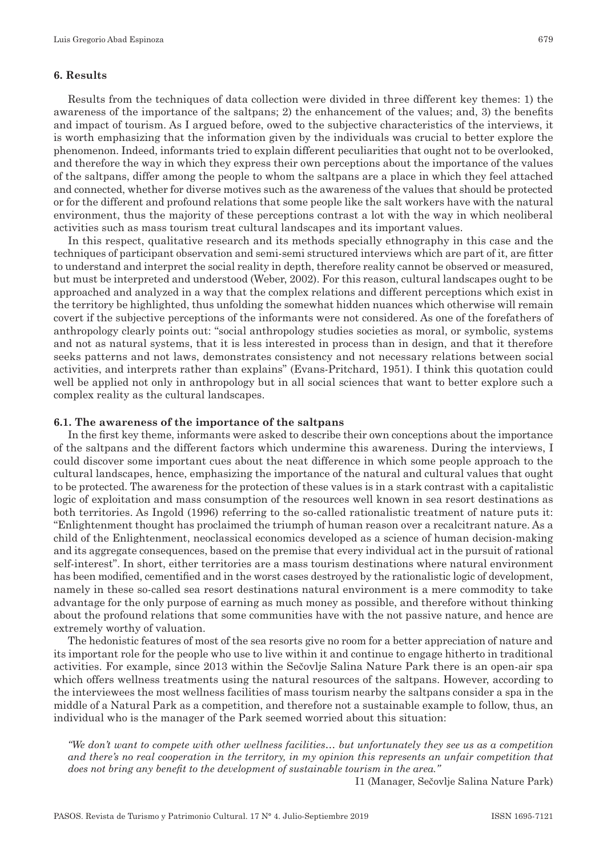#### **6. Results**

Results from the techniques of data collection were divided in three different key themes: 1) the awareness of the importance of the saltpans; 2) the enhancement of the values; and, 3) the benefits and impact of tourism. As I argued before, owed to the subjective characteristics of the interviews, it is worth emphasizing that the information given by the individuals was crucial to better explore the phenomenon. Indeed, informants tried to explain different peculiarities that ought not to be overlooked, and therefore the way in which they express their own perceptions about the importance of the values of the saltpans, differ among the people to whom the saltpans are a place in which they feel attached and connected, whether for diverse motives such as the awareness of the values that should be protected or for the different and profound relations that some people like the salt workers have with the natural environment, thus the majority of these perceptions contrast a lot with the way in which neoliberal activities such as mass tourism treat cultural landscapes and its important values.

In this respect, qualitative research and its methods specially ethnography in this case and the techniques of participant observation and semi‑semi structured interviews which are part of it, are fitter to understand and interpret the social reality in depth, therefore reality cannot be observed or measured, but must be interpreted and understood (Weber, 2002). For this reason, cultural landscapes ought to be approached and analyzed in a way that the complex relations and different perceptions which exist in the territory be highlighted, thus unfolding the somewhat hidden nuances which otherwise will remain covert if the subjective perceptions of the informants were not considered. As one of the forefathers of anthropology clearly points out: "social anthropology studies societies as moral, or symbolic, systems and not as natural systems, that it is less interested in process than in design, and that it therefore seeks patterns and not laws, demonstrates consistency and not necessary relations between social activities, and interprets rather than explains" (Evans‑Pritchard, 1951). I think this quotation could well be applied not only in anthropology but in all social sciences that want to better explore such a complex reality as the cultural landscapes.

#### **6.1. The awareness of the importance of the saltpans**

In the first key theme, informants were asked to describe their own conceptions about the importance of the saltpans and the different factors which undermine this awareness. During the interviews, I could discover some important cues about the neat difference in which some people approach to the cultural landscapes, hence, emphasizing the importance of the natural and cultural values that ought to be protected. The awareness for the protection of these values is in a stark contrast with a capitalistic logic of exploitation and mass consumption of the resources well known in sea resort destinations as both territories. As Ingold (1996) referring to the so-called rationalistic treatment of nature puts it: "Enlightenment thought has proclaimed the triumph of human reason over a recalcitrant nature. As a child of the Enlightenment, neoclassical economics developed as a science of human decision–making and its aggregate consequences, based on the premise that every individual act in the pursuit of rational self-interest". In short, either territories are a mass tourism destinations where natural environment has been modified, cementified and in the worst cases destroyed by the rationalistic logic of development, namely in these so-called sea resort destinations natural environment is a mere commodity to take advantage for the only purpose of earning as much money as possible, and therefore without thinking about the profound relations that some communities have with the not passive nature, and hence are extremely worthy of valuation.

The hedonistic features of most of the sea resorts give no room for a better appreciation of nature and its important role for the people who use to live within it and continue to engage hitherto in traditional activities. For example, since 2013 within the Sečovlje Salina Nature Park there is an open-air spa which offers wellness treatments using the natural resources of the saltpans. However, according to the interviewees the most wellness facilities of mass tourism nearby the saltpans consider a spa in the middle of a Natural Park as a competition, and therefore not a sustainable example to follow, thus, an individual who is the manager of the Park seemed worried about this situation:

*"We don't want to compete with other wellness facilities… but unfortunately they see us as a competition and there's no real cooperation in the territory, in my opinion this represents an unfair competition that does not bring any benefit to the development of sustainable tourism in the area."*

I1 (Manager, Sečovlje Salina Nature Park)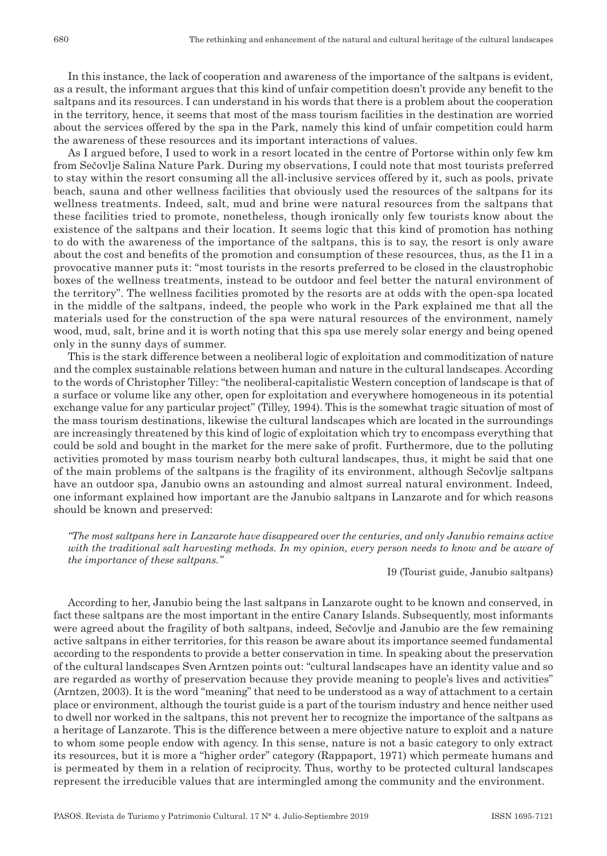In this instance, the lack of cooperation and awareness of the importance of the saltpans is evident, as a result, the informant argues that this kind of unfair competition doesn't provide any benefit to the saltpans and its resources. I can understand in his words that there is a problem about the cooperation in the territory, hence, it seems that most of the mass tourism facilities in the destination are worried about the services offered by the spa in the Park, namely this kind of unfair competition could harm the awareness of these resources and its important interactions of values.

As I argued before, I used to work in a resort located in the centre of Portorse within only few km from Sečovlje Salina Nature Park. During my observations, I could note that most tourists preferred to stay within the resort consuming all the all‑inclusive services offered by it, such as pools, private beach, sauna and other wellness facilities that obviously used the resources of the saltpans for its wellness treatments. Indeed, salt, mud and brine were natural resources from the saltpans that these facilities tried to promote, nonetheless, though ironically only few tourists know about the existence of the saltpans and their location. It seems logic that this kind of promotion has nothing to do with the awareness of the importance of the saltpans, this is to say, the resort is only aware about the cost and benefits of the promotion and consumption of these resources, thus, as the I1 in a provocative manner puts it: "most tourists in the resorts preferred to be closed in the claustrophobic boxes of the wellness treatments, instead to be outdoor and feel better the natural environment of the territory". The wellness facilities promoted by the resorts are at odds with the open‑spa located in the middle of the saltpans, indeed, the people who work in the Park explained me that all the materials used for the construction of the spa were natural resources of the environment, namely wood, mud, salt, brine and it is worth noting that this spa use merely solar energy and being opened only in the sunny days of summer.

This is the stark difference between a neoliberal logic of exploitation and commoditization of nature and the complex sustainable relations between human and nature in the cultural landscapes. According to the words of Christopher Tilley: "the neoliberal‑capitalistic Western conception of landscape is that of a surface or volume like any other, open for exploitation and everywhere homogeneous in its potential exchange value for any particular project" (Tilley, 1994). This is the somewhat tragic situation of most of the mass tourism destinations, likewise the cultural landscapes which are located in the surroundings are increasingly threatened by this kind of logic of exploitation which try to encompass everything that could be sold and bought in the market for the mere sake of profit. Furthermore, due to the polluting activities promoted by mass tourism nearby both cultural landscapes, thus, it might be said that one of the main problems of the saltpans is the fragility of its environment, although Sečovlje saltpans have an outdoor spa, Janubio owns an astounding and almost surreal natural environment. Indeed, one informant explained how important are the Janubio saltpans in Lanzarote and for which reasons should be known and preserved:

*"The most saltpans here in Lanzarote have disappeared over the centuries, and only Janubio remains active with the traditional salt harvesting methods. In my opinion, every person needs to know and be aware of the importance of these saltpans."*

I9 (Tourist guide, Janubio saltpans)

According to her, Janubio being the last saltpans in Lanzarote ought to be known and conserved, in fact these saltpans are the most important in the entire Canary Islands. Subsequently, most informants were agreed about the fragility of both saltpans, indeed, Sečovlje and Janubio are the few remaining active saltpans in either territories, for this reason be aware about its importance seemed fundamental according to the respondents to provide a better conservation in time. In speaking about the preservation of the cultural landscapes Sven Arntzen points out: "cultural landscapes have an identity value and so are regarded as worthy of preservation because they provide meaning to people's lives and activities" (Arntzen, 2003). It is the word "meaning" that need to be understood as a way of attachment to a certain place or environment, although the tourist guide is a part of the tourism industry and hence neither used to dwell nor worked in the saltpans, this not prevent her to recognize the importance of the saltpans as a heritage of Lanzarote. This is the difference between a mere objective nature to exploit and a nature to whom some people endow with agency. In this sense, nature is not a basic category to only extract its resources, but it is more a "higher order" category (Rappaport, 1971) which permeate humans and is permeated by them in a relation of reciprocity. Thus, worthy to be protected cultural landscapes represent the irreducible values that are intermingled among the community and the environment.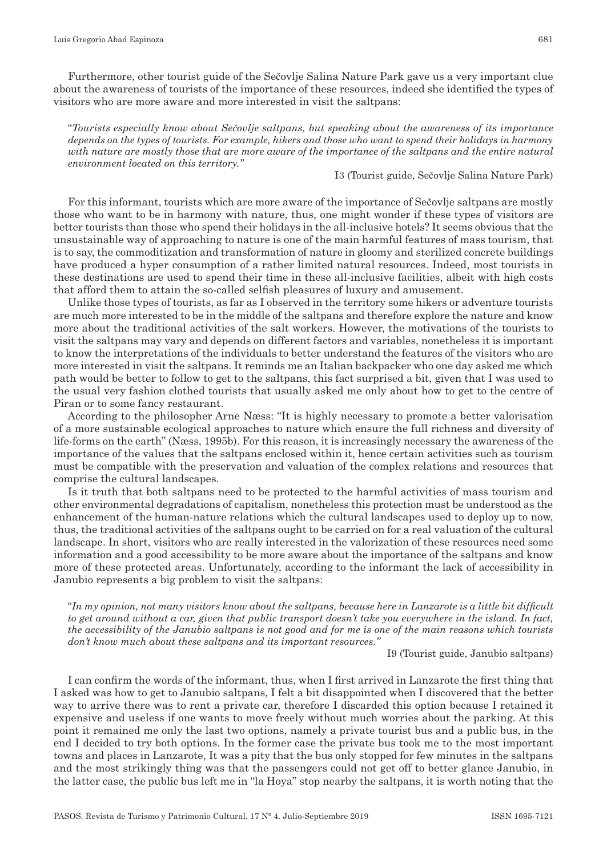Furthermore, other tourist guide of the Sečovlje Salina Nature Park gave us a very important clue about the awareness of tourists of the importance of these resources, indeed she identified the types of visitors who are more aware and more interested in visit the saltpans:

"*Tourists especially know about Sečovlje saltpans, but speaking about the awareness of its importance depends on the types of tourists. For example, hikers and those who want to spend their holidays in harmony with nature are mostly those that are more aware of the importance of the saltpans and the entire natural environment located on this territory."*

#### I3 (Tourist guide, Sečovlje Salina Nature Park)

For this informant, tourists which are more aware of the importance of Sečovlje saltpans are mostly those who want to be in harmony with nature, thus, one might wonder if these types of visitors are better tourists than those who spend their holidays in the all‑inclusive hotels? It seems obvious that the unsustainable way of approaching to nature is one of the main harmful features of mass tourism, that is to say, the commoditization and transformation of nature in gloomy and sterilized concrete buildings have produced a hyper consumption of a rather limited natural resources. Indeed, most tourists in these destinations are used to spend their time in these all‑inclusive facilities, albeit with high costs that afford them to attain the so‑called selfish pleasures of luxury and amusement.

Unlike those types of tourists, as far as I observed in the territory some hikers or adventure tourists are much more interested to be in the middle of the saltpans and therefore explore the nature and know more about the traditional activities of the salt workers. However, the motivations of the tourists to visit the saltpans may vary and depends on different factors and variables, nonetheless it is important to know the interpretations of the individuals to better understand the features of the visitors who are more interested in visit the saltpans. It reminds me an Italian backpacker who one day asked me which path would be better to follow to get to the saltpans, this fact surprised a bit, given that I was used to the usual very fashion clothed tourists that usually asked me only about how to get to the centre of Piran or to some fancy restaurant.

According to the philosopher Arne Næss: "It is highly necessary to promote a better valorisation of a more sustainable ecological approaches to nature which ensure the full richness and diversity of life-forms on the earth" (Næss, 1995b). For this reason, it is increasingly necessary the awareness of the importance of the values that the saltpans enclosed within it, hence certain activities such as tourism must be compatible with the preservation and valuation of the complex relations and resources that comprise the cultural landscapes.

Is it truth that both saltpans need to be protected to the harmful activities of mass tourism and other environmental degradations of capitalism, nonetheless this protection must be understood as the enhancement of the human-nature relations which the cultural landscapes used to deploy up to now, thus, the traditional activities of the saltpans ought to be carried on for a real valuation of the cultural landscape. In short, visitors who are really interested in the valorization of these resources need some information and a good accessibility to be more aware about the importance of the saltpans and know more of these protected areas. Unfortunately, according to the informant the lack of accessibility in Janubio represents a big problem to visit the saltpans:

"*In my opinion, not many visitors know about the saltpans, because here in Lanzarote is a little bit difficult to get around without a car, given that public transport doesn't take you everywhere in the island. In fact, the accessibility of the Janubio saltpans is not good and for me is one of the main reasons which tourists don't know much about these saltpans and its important resources."*

I9 (Tourist guide, Janubio saltpans)

I can confirm the words of the informant, thus, when I first arrived in Lanzarote the first thing that I asked was how to get to Janubio saltpans, I felt a bit disappointed when I discovered that the better way to arrive there was to rent a private car, therefore I discarded this option because I retained it expensive and useless if one wants to move freely without much worries about the parking. At this point it remained me only the last two options, namely a private tourist bus and a public bus, in the end I decided to try both options. In the former case the private bus took me to the most important towns and places in Lanzarote, It was a pity that the bus only stopped for few minutes in the saltpans and the most strikingly thing was that the passengers could not get off to better glance Janubio, in the latter case, the public bus left me in "la Hoya" stop nearby the saltpans, it is worth noting that the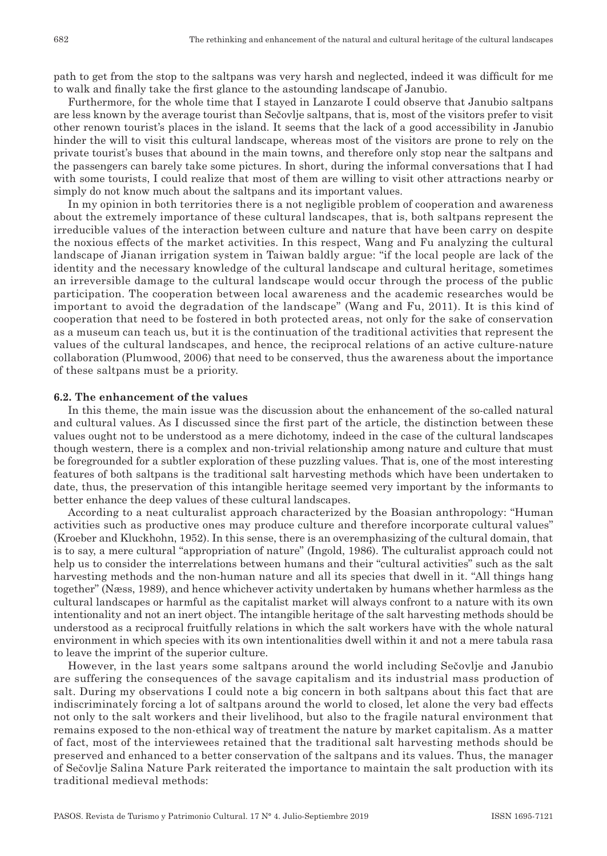path to get from the stop to the saltpans was very harsh and neglected, indeed it was difficult for me to walk and finally take the first glance to the astounding landscape of Janubio.

Furthermore, for the whole time that I stayed in Lanzarote I could observe that Janubio saltpans are less known by the average tourist than Sečovlje saltpans, that is, most of the visitors prefer to visit other renown tourist's places in the island. It seems that the lack of a good accessibility in Janubio hinder the will to visit this cultural landscape, whereas most of the visitors are prone to rely on the private tourist's buses that abound in the main towns, and therefore only stop near the saltpans and the passengers can barely take some pictures. In short, during the informal conversations that I had with some tourists, I could realize that most of them are willing to visit other attractions nearby or simply do not know much about the saltpans and its important values.

In my opinion in both territories there is a not negligible problem of cooperation and awareness about the extremely importance of these cultural landscapes, that is, both saltpans represent the irreducible values of the interaction between culture and nature that have been carry on despite the noxious effects of the market activities. In this respect, Wang and Fu analyzing the cultural landscape of Jianan irrigation system in Taiwan baldly argue: "if the local people are lack of the identity and the necessary knowledge of the cultural landscape and cultural heritage, sometimes an irreversible damage to the cultural landscape would occur through the process of the public participation. The cooperation between local awareness and the academic researches would be important to avoid the degradation of the landscape" (Wang and Fu, 2011). It is this kind of cooperation that need to be fostered in both protected areas, not only for the sake of conservation as a museum can teach us, but it is the continuation of the traditional activities that represent the values of the cultural landscapes, and hence, the reciprocal relations of an active culture-nature collaboration (Plumwood, 2006) that need to be conserved, thus the awareness about the importance of these saltpans must be a priority.

#### **6.2. The enhancement of the values**

In this theme, the main issue was the discussion about the enhancement of the so-called natural and cultural values. As I discussed since the first part of the article, the distinction between these values ought not to be understood as a mere dichotomy, indeed in the case of the cultural landscapes though western, there is a complex and non-trivial relationship among nature and culture that must be foregrounded for a subtler exploration of these puzzling values. That is, one of the most interesting features of both saltpans is the traditional salt harvesting methods which have been undertaken to date, thus, the preservation of this intangible heritage seemed very important by the informants to better enhance the deep values of these cultural landscapes.

According to a neat culturalist approach characterized by the Boasian anthropology: "Human activities such as productive ones may produce culture and therefore incorporate cultural values" (Kroeber and Kluckhohn, 1952). In this sense, there is an overemphasizing of the cultural domain, that is to say, a mere cultural "appropriation of nature" (Ingold, 1986). The culturalist approach could not help us to consider the interrelations between humans and their "cultural activities" such as the salt harvesting methods and the non-human nature and all its species that dwell in it. "All things hang together" (Næss, 1989), and hence whichever activity undertaken by humans whether harmless as the cultural landscapes or harmful as the capitalist market will always confront to a nature with its own intentionality and not an inert object. The intangible heritage of the salt harvesting methods should be understood as a reciprocal fruitfully relations in which the salt workers have with the whole natural environment in which species with its own intentionalities dwell within it and not a mere tabula rasa to leave the imprint of the superior culture.

However, in the last years some saltpans around the world including Sečovlje and Janubio are suffering the consequences of the savage capitalism and its industrial mass production of salt. During my observations I could note a big concern in both saltpans about this fact that are indiscriminately forcing a lot of saltpans around the world to closed, let alone the very bad effects not only to the salt workers and their livelihood, but also to the fragile natural environment that remains exposed to the non‑ethical way of treatment the nature by market capitalism. As a matter of fact, most of the interviewees retained that the traditional salt harvesting methods should be preserved and enhanced to a better conservation of the saltpans and its values. Thus, the manager of Sečovlje Salina Nature Park reiterated the importance to maintain the salt production with its traditional medieval methods: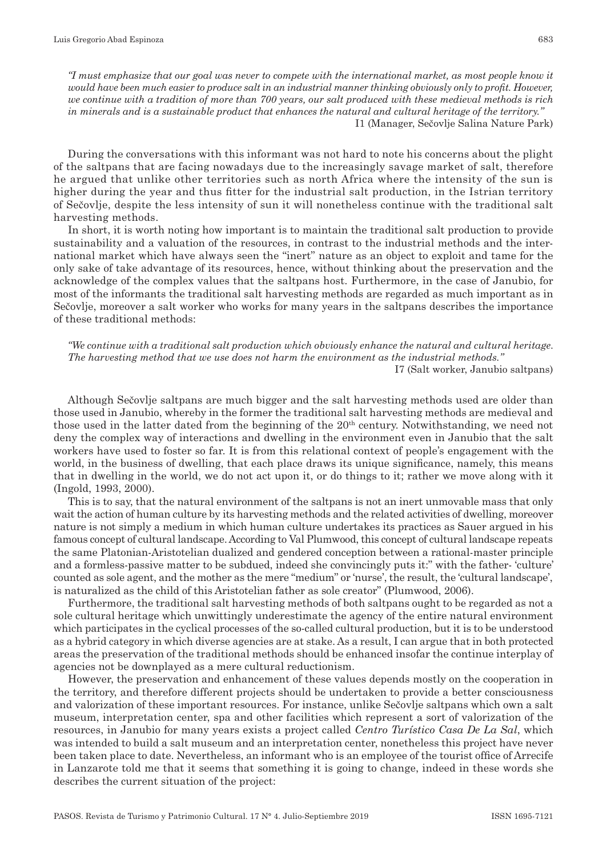*"I must emphasize that our goal was never to compete with the international market, as most people know it would have been much easier to produce salt in an industrial manner thinking obviously only to profit. However, we continue with a tradition of more than 700 years, our salt produced with these medieval methods is rich in minerals and is a sustainable product that enhances the natural and cultural heritage of the territory."* I1 (Manager, Sečovlje Salina Nature Park)

During the conversations with this informant was not hard to note his concerns about the plight of the saltpans that are facing nowadays due to the increasingly savage market of salt, therefore he argued that unlike other territories such as north Africa where the intensity of the sun is higher during the year and thus fitter for the industrial salt production, in the Istrian territory of Sečovlje, despite the less intensity of sun it will nonetheless continue with the traditional salt harvesting methods.

In short, it is worth noting how important is to maintain the traditional salt production to provide sustainability and a valuation of the resources, in contrast to the industrial methods and the international market which have always seen the "inert" nature as an object to exploit and tame for the only sake of take advantage of its resources, hence, without thinking about the preservation and the acknowledge of the complex values that the saltpans host. Furthermore, in the case of Janubio, for most of the informants the traditional salt harvesting methods are regarded as much important as in Sečovlje, moreover a salt worker who works for many years in the saltpans describes the importance of these traditional methods:

*"We continue with a traditional salt production which obviously enhance the natural and cultural heritage. The harvesting method that we use does not harm the environment as the industrial methods."*  I7 (Salt worker, Janubio saltpans)

Although Sečovlje saltpans are much bigger and the salt harvesting methods used are older than those used in Janubio, whereby in the former the traditional salt harvesting methods are medieval and those used in the latter dated from the beginning of the  $20<sup>th</sup>$  century. Notwithstanding, we need not deny the complex way of interactions and dwelling in the environment even in Janubio that the salt workers have used to foster so far. It is from this relational context of people's engagement with the world, in the business of dwelling, that each place draws its unique significance, namely, this means that in dwelling in the world, we do not act upon it, or do things to it; rather we move along with it (Ingold, 1993, 2000).

This is to say, that the natural environment of the saltpans is not an inert unmovable mass that only wait the action of human culture by its harvesting methods and the related activities of dwelling, moreover nature is not simply a medium in which human culture undertakes its practices as Sauer argued in his famous concept of cultural landscape. According to Val Plumwood, this concept of cultural landscape repeats the same Platonian–Aristotelian dualized and gendered conception between a rational–master principle and a formless-passive matter to be subdued, indeed she convincingly puts it:" with the father- 'culture' counted as sole agent, and the mother as the mere "medium" or 'nurse', the result, the 'cultural landscape', is naturalized as the child of this Aristotelian father as sole creator" (Plumwood, 2006).

Furthermore, the traditional salt harvesting methods of both saltpans ought to be regarded as not a sole cultural heritage which unwittingly underestimate the agency of the entire natural environment which participates in the cyclical processes of the so-called cultural production, but it is to be understood as a hybrid category in which diverse agencies are at stake. As a result, I can argue that in both protected areas the preservation of the traditional methods should be enhanced insofar the continue interplay of agencies not be downplayed as a mere cultural reductionism.

However, the preservation and enhancement of these values depends mostly on the cooperation in the territory, and therefore different projects should be undertaken to provide a better consciousness and valorization of these important resources. For instance, unlike Sečovlje saltpans which own a salt museum, interpretation center, spa and other facilities which represent a sort of valorization of the resources, in Janubio for many years exists a project called *Centro Turístico Casa De La Sal*, which was intended to build a salt museum and an interpretation center, nonetheless this project have never been taken place to date. Nevertheless, an informant who is an employee of the tourist office of Arrecife in Lanzarote told me that it seems that something it is going to change, indeed in these words she describes the current situation of the project: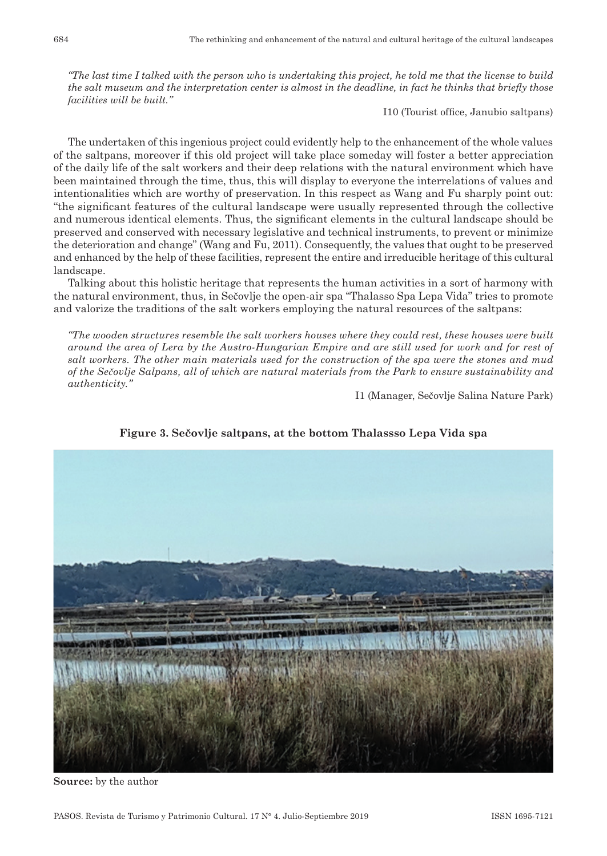*"The last time I talked with the person who is undertaking this project, he told me that the license to build the salt museum and the interpretation center is almost in the deadline, in fact he thinks that briefly those facilities will be built."*

I10 (Tourist office, Janubio saltpans)

The undertaken of this ingenious project could evidently help to the enhancement of the whole values of the saltpans, moreover if this old project will take place someday will foster a better appreciation of the daily life of the salt workers and their deep relations with the natural environment which have been maintained through the time, thus, this will display to everyone the interrelations of values and intentionalities which are worthy of preservation. In this respect as Wang and Fu sharply point out: "the significant features of the cultural landscape were usually represented through the collective and numerous identical elements. Thus, the significant elements in the cultural landscape should be preserved and conserved with necessary legislative and technical instruments, to prevent or minimize the deterioration and change" (Wang and Fu, 2011). Consequently, the values that ought to be preserved and enhanced by the help of these facilities, represent the entire and irreducible heritage of this cultural landscape.

Talking about this holistic heritage that represents the human activities in a sort of harmony with the natural environment, thus, in Sečovlje the open-air spa "Thalasso Spa Lepa Vida" tries to promote and valorize the traditions of the salt workers employing the natural resources of the saltpans:

*"The wooden structures resemble the salt workers houses where they could rest, these houses were built around the area of Lera by the Austro‑Hungarian Empire and are still used for work and for rest of salt workers. The other main materials used for the construction of the spa were the stones and mud of the Sečovlje Salpans, all of which are natural materials from the Park to ensure sustainability and authenticity."* 

I1 (Manager, Sečovlje Salina Nature Park)



**Figure 3. Sečovlje saltpans, at the bottom Thalassso Lepa Vida spa**

**Source:** by the author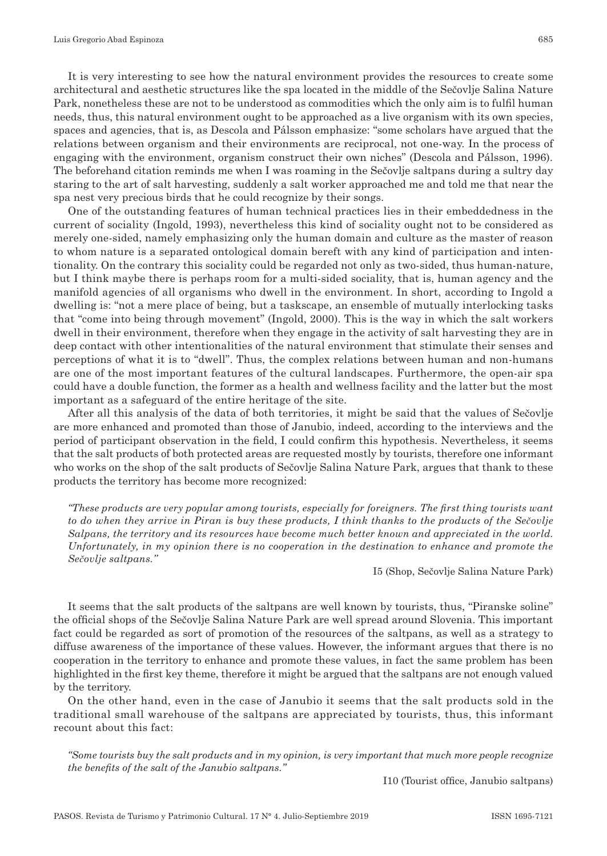It is very interesting to see how the natural environment provides the resources to create some architectural and aesthetic structures like the spa located in the middle of the Sečovlje Salina Nature Park, nonetheless these are not to be understood as commodities which the only aim is to fulfil human needs, thus, this natural environment ought to be approached as a live organism with its own species, spaces and agencies, that is, as Descola and Pálsson emphasize: "some scholars have argued that the relations between organism and their environments are reciprocal, not one‑way. In the process of engaging with the environment, organism construct their own niches" (Descola and Pálsson, 1996). The beforehand citation reminds me when I was roaming in the Sečovlje saltpans during a sultry day staring to the art of salt harvesting, suddenly a salt worker approached me and told me that near the spa nest very precious birds that he could recognize by their songs.

One of the outstanding features of human technical practices lies in their embeddedness in the current of sociality (Ingold, 1993), nevertheless this kind of sociality ought not to be considered as merely one‑sided, namely emphasizing only the human domain and culture as the master of reason to whom nature is a separated ontological domain bereft with any kind of participation and intentionality. On the contrary this sociality could be regarded not only as two-sided, thus human-nature, but I think maybe there is perhaps room for a multi-sided sociality, that is, human agency and the manifold agencies of all organisms who dwell in the environment. In short, according to Ingold a dwelling is: "not a mere place of being, but a taskscape, an ensemble of mutually interlocking tasks that "come into being through movement" (Ingold, 2000). This is the way in which the salt workers dwell in their environment, therefore when they engage in the activity of salt harvesting they are in deep contact with other intentionalities of the natural environment that stimulate their senses and perceptions of what it is to "dwell". Thus, the complex relations between human and non-humans are one of the most important features of the cultural landscapes. Furthermore, the open-air spa could have a double function, the former as a health and wellness facility and the latter but the most important as a safeguard of the entire heritage of the site.

After all this analysis of the data of both territories, it might be said that the values of Sečovlje are more enhanced and promoted than those of Janubio, indeed, according to the interviews and the period of participant observation in the field, I could confirm this hypothesis. Nevertheless, it seems that the salt products of both protected areas are requested mostly by tourists, therefore one informant who works on the shop of the salt products of Sečovlje Salina Nature Park, argues that thank to these products the territory has become more recognized:

*"These products are very popular among tourists, especially for foreigners. The first thing tourists want to do when they arrive in Piran is buy these products, I think thanks to the products of the Sečovlje Salpans, the territory and its resources have become much better known and appreciated in the world. Unfortunately, in my opinion there is no cooperation in the destination to enhance and promote the Sečovlje saltpans."*

I5 (Shop, Sečovlje Salina Nature Park)

It seems that the salt products of the saltpans are well known by tourists, thus, "Piranske soline" the official shops of the Sečovlje Salina Nature Park are well spread around Slovenia. This important fact could be regarded as sort of promotion of the resources of the saltpans, as well as a strategy to diffuse awareness of the importance of these values. However, the informant argues that there is no cooperation in the territory to enhance and promote these values, in fact the same problem has been highlighted in the first key theme, therefore it might be argued that the saltpans are not enough valued by the territory.

On the other hand, even in the case of Janubio it seems that the salt products sold in the traditional small warehouse of the saltpans are appreciated by tourists, thus, this informant recount about this fact:

*"Some tourists buy the salt products and in my opinion, is very important that much more people recognize the benefits of the salt of the Janubio saltpans."* 

I10 (Tourist office, Janubio saltpans)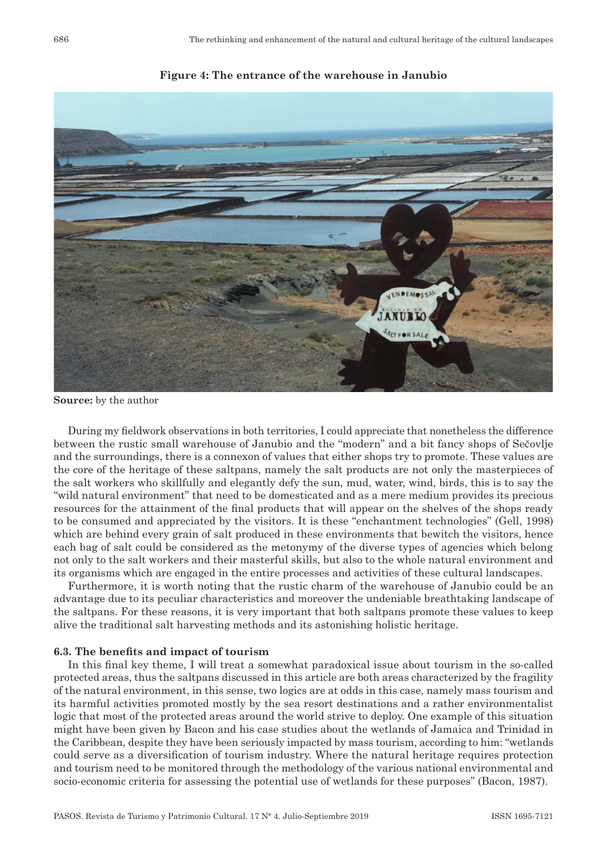

**Figure 4: The entrance of the warehouse in Janubio**

**Source:** by the author

During my fieldwork observations in both territories, I could appreciate that nonetheless the difference between the rustic small warehouse of Janubio and the "modern" and a bit fancy shops of Sečovlje and the surroundings, there is a connexon of values that either shops try to promote. These values are the core of the heritage of these saltpans, namely the salt products are not only the masterpieces of the salt workers who skillfully and elegantly defy the sun, mud, water, wind, birds, this is to say the "wild natural environment" that need to be domesticated and as a mere medium provides its precious resources for the attainment of the final products that will appear on the shelves of the shops ready to be consumed and appreciated by the visitors. It is these "enchantment technologies" (Gell, 1998) which are behind every grain of salt produced in these environments that bewitch the visitors, hence each bag of salt could be considered as the metonymy of the diverse types of agencies which belong not only to the salt workers and their masterful skills, but also to the whole natural environment and its organisms which are engaged in the entire processes and activities of these cultural landscapes.

Furthermore, it is worth noting that the rustic charm of the warehouse of Janubio could be an advantage due to its peculiar characteristics and moreover the undeniable breathtaking landscape of the saltpans. For these reasons, it is very important that both saltpans promote these values to keep alive the traditional salt harvesting methods and its astonishing holistic heritage.

#### **6.3. The benefits and impact of tourism**

In this final key theme, I will treat a somewhat paradoxical issue about tourism in the so-called protected areas, thus the saltpans discussed in this article are both areas characterized by the fragility of the natural environment, in this sense, two logics are at odds in this case, namely mass tourism and its harmful activities promoted mostly by the sea resort destinations and a rather environmentalist logic that most of the protected areas around the world strive to deploy. One example of this situation might have been given by Bacon and his case studies about the wetlands of Jamaica and Trinidad in the Caribbean, despite they have been seriously impacted by mass tourism, according to him: "wetlands could serve as a diversification of tourism industry. Where the natural heritage requires protection and tourism need to be monitored through the methodology of the various national environmental and socio‑economic criteria for assessing the potential use of wetlands for these purposes" (Bacon, 1987).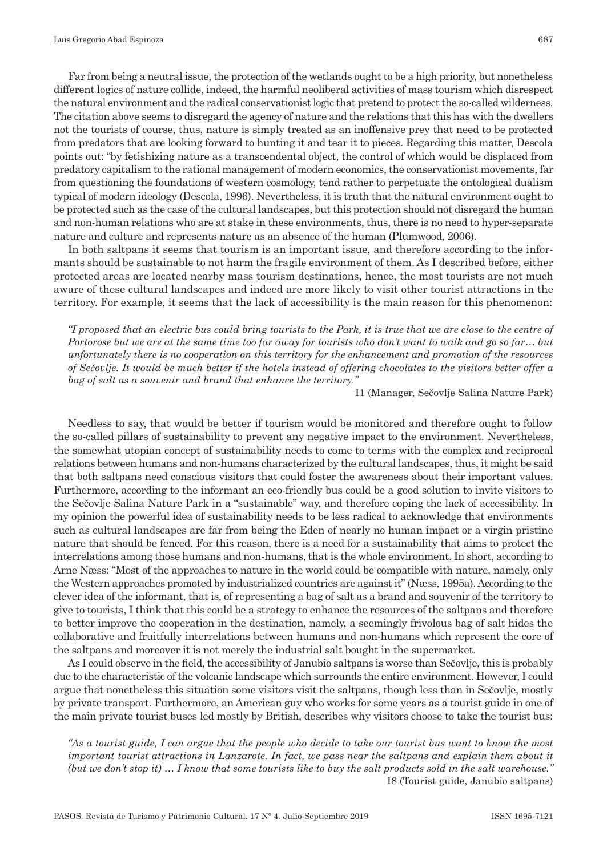Far from being a neutral issue, the protection of the wetlands ought to be a high priority, but nonetheless different logics of nature collide, indeed, the harmful neoliberal activities of mass tourism which disrespect the natural environment and the radical conservationist logic that pretend to protect the so-called wilderness. The citation above seems to disregard the agency of nature and the relations that this has with the dwellers not the tourists of course, thus, nature is simply treated as an inoffensive prey that need to be protected from predators that are looking forward to hunting it and tear it to pieces. Regarding this matter, Descola points out: "by fetishizing nature as a transcendental object, the control of which would be displaced from predatory capitalism to the rational management of modern economics, the conservationist movements, far from questioning the foundations of western cosmology, tend rather to perpetuate the ontological dualism typical of modern ideology (Descola, 1996). Nevertheless, it is truth that the natural environment ought to be protected such as the case of the cultural landscapes, but this protection should not disregard the human and non-human relations who are at stake in these environments, thus, there is no need to hyper-separate nature and culture and represents nature as an absence of the human (Plumwood, 2006).

In both saltpans it seems that tourism is an important issue, and therefore according to the informants should be sustainable to not harm the fragile environment of them. As I described before, either protected areas are located nearby mass tourism destinations, hence, the most tourists are not much aware of these cultural landscapes and indeed are more likely to visit other tourist attractions in the territory. For example, it seems that the lack of accessibility is the main reason for this phenomenon:

*"I proposed that an electric bus could bring tourists to the Park, it is true that we are close to the centre of Portorose but we are at the same time too far away for tourists who don't want to walk and go so far… but unfortunately there is no cooperation on this territory for the enhancement and promotion of the resources of Sečovlje. It would be much better if the hotels instead of offering chocolates to the visitors better offer a bag of salt as a souvenir and brand that enhance the territory."*

I1 (Manager, Sečovlje Salina Nature Park)

Needless to say, that would be better if tourism would be monitored and therefore ought to follow the so‑called pillars of sustainability to prevent any negative impact to the environment. Nevertheless, the somewhat utopian concept of sustainability needs to come to terms with the complex and reciprocal relations between humans and non‑humans characterized by the cultural landscapes, thus, it might be said that both saltpans need conscious visitors that could foster the awareness about their important values. Furthermore, according to the informant an eco-friendly bus could be a good solution to invite visitors to the Sečovlje Salina Nature Park in a "sustainable" way, and therefore coping the lack of accessibility. In my opinion the powerful idea of sustainability needs to be less radical to acknowledge that environments such as cultural landscapes are far from being the Eden of nearly no human impact or a virgin pristine nature that should be fenced. For this reason, there is a need for a sustainability that aims to protect the interrelations among those humans and non-humans, that is the whole environment. In short, according to Arne Næss: "Most of the approaches to nature in the world could be compatible with nature, namely, only the Western approaches promoted by industrialized countries are against it" (Næss, 1995a). According to the clever idea of the informant, that is, of representing a bag of salt as a brand and souvenir of the territory to give to tourists, I think that this could be a strategy to enhance the resources of the saltpans and therefore to better improve the cooperation in the destination, namely, a seemingly frivolous bag of salt hides the collaborative and fruitfully interrelations between humans and non-humans which represent the core of the saltpans and moreover it is not merely the industrial salt bought in the supermarket.

As I could observe in the field, the accessibility of Janubio saltpans is worse than Sečovlje, this is probably due to the characteristic of the volcanic landscape which surrounds the entire environment. However, I could argue that nonetheless this situation some visitors visit the saltpans, though less than in Sečovlje, mostly by private transport. Furthermore, an American guy who works for some years as a tourist guide in one of the main private tourist buses led mostly by British, describes why visitors choose to take the tourist bus:

*"As a tourist guide, I can argue that the people who decide to take our tourist bus want to know the most important tourist attractions in Lanzarote. In fact, we pass near the saltpans and explain them about it (but we don't stop it) … I know that some tourists like to buy the salt products sold in the salt warehouse."* I8 (Tourist guide, Janubio saltpans)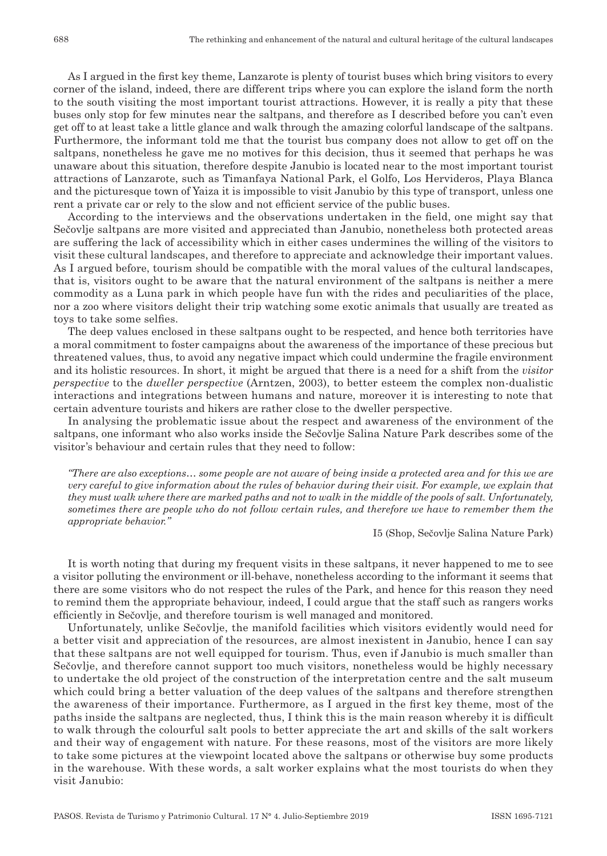As I argued in the first key theme, Lanzarote is plenty of tourist buses which bring visitors to every corner of the island, indeed, there are different trips where you can explore the island form the north to the south visiting the most important tourist attractions. However, it is really a pity that these buses only stop for few minutes near the saltpans, and therefore as I described before you can't even get off to at least take a little glance and walk through the amazing colorful landscape of the saltpans. Furthermore, the informant told me that the tourist bus company does not allow to get off on the saltpans, nonetheless he gave me no motives for this decision, thus it seemed that perhaps he was unaware about this situation, therefore despite Janubio is located near to the most important tourist attractions of Lanzarote, such as Timanfaya National Park, el Golfo, Los Hervideros, Playa Blanca and the picturesque town of Yaiza it is impossible to visit Janubio by this type of transport, unless one rent a private car or rely to the slow and not efficient service of the public buses.

According to the interviews and the observations undertaken in the field, one might say that Sečovlje saltpans are more visited and appreciated than Janubio, nonetheless both protected areas are suffering the lack of accessibility which in either cases undermines the willing of the visitors to visit these cultural landscapes, and therefore to appreciate and acknowledge their important values. As I argued before, tourism should be compatible with the moral values of the cultural landscapes, that is, visitors ought to be aware that the natural environment of the saltpans is neither a mere commodity as a Luna park in which people have fun with the rides and peculiarities of the place, nor a zoo where visitors delight their trip watching some exotic animals that usually are treated as toys to take some selfies.

The deep values enclosed in these saltpans ought to be respected, and hence both territories have a moral commitment to foster campaigns about the awareness of the importance of these precious but threatened values, thus, to avoid any negative impact which could undermine the fragile environment and its holistic resources. In short, it might be argued that there is a need for a shift from the *visitor perspective* to the *dweller perspective* (Arntzen, 2003), to better esteem the complex non-dualistic interactions and integrations between humans and nature, moreover it is interesting to note that certain adventure tourists and hikers are rather close to the dweller perspective.

In analysing the problematic issue about the respect and awareness of the environment of the saltpans, one informant who also works inside the Sečovlje Salina Nature Park describes some of the visitor's behaviour and certain rules that they need to follow:

*"There are also exceptions… some people are not aware of being inside a protected area and for this we are very careful to give information about the rules of behavior during their visit. For example, we explain that they must walk where there are marked paths and not to walk in the middle of the pools of salt. Unfortunately, sometimes there are people who do not follow certain rules, and therefore we have to remember them the appropriate behavior."*

I5 (Shop, Sečovlje Salina Nature Park)

It is worth noting that during my frequent visits in these saltpans, it never happened to me to see a visitor polluting the environment or ill‑behave, nonetheless according to the informant it seems that there are some visitors who do not respect the rules of the Park, and hence for this reason they need to remind them the appropriate behaviour, indeed, I could argue that the staff such as rangers works efficiently in Sečovlje, and therefore tourism is well managed and monitored.

Unfortunately, unlike Sečovlje, the manifold facilities which visitors evidently would need for a better visit and appreciation of the resources, are almost inexistent in Janubio, hence I can say that these saltpans are not well equipped for tourism. Thus, even if Janubio is much smaller than Sečovlje, and therefore cannot support too much visitors, nonetheless would be highly necessary to undertake the old project of the construction of the interpretation centre and the salt museum which could bring a better valuation of the deep values of the saltpans and therefore strengthen the awareness of their importance. Furthermore, as I argued in the first key theme, most of the paths inside the saltpans are neglected, thus, I think this is the main reason whereby it is difficult to walk through the colourful salt pools to better appreciate the art and skills of the salt workers and their way of engagement with nature. For these reasons, most of the visitors are more likely to take some pictures at the viewpoint located above the saltpans or otherwise buy some products in the warehouse. With these words, a salt worker explains what the most tourists do when they visit Janubio: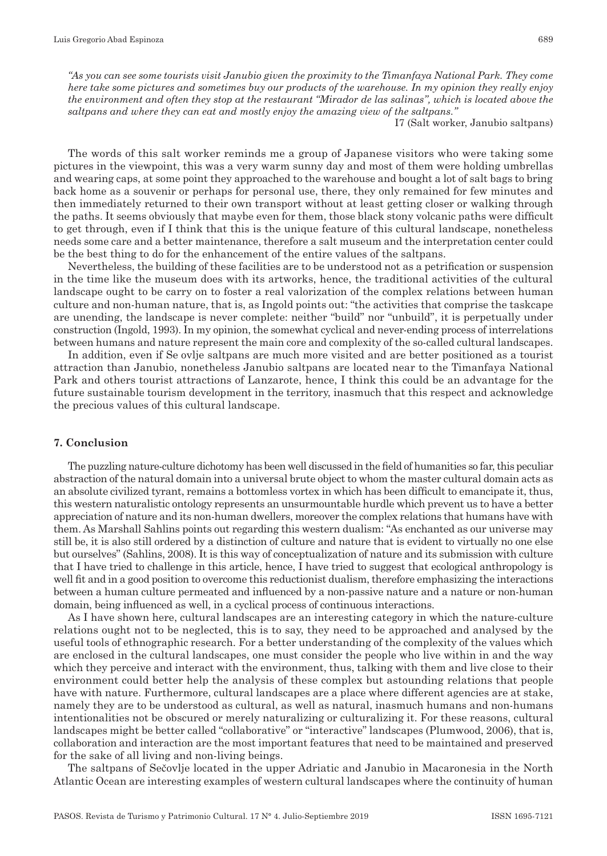*"As you can see some tourists visit Janubio given the proximity to the Timanfaya National Park. They come here take some pictures and sometimes buy our products of the warehouse. In my opinion they really enjoy the environment and often they stop at the restaurant "Mirador de las salinas", which is located above the saltpans and where they can eat and mostly enjoy the amazing view of the saltpans."*

I7 (Salt worker, Janubio saltpans)

The words of this salt worker reminds me a group of Japanese visitors who were taking some pictures in the viewpoint, this was a very warm sunny day and most of them were holding umbrellas and wearing caps, at some point they approached to the warehouse and bought a lot of salt bags to bring back home as a souvenir or perhaps for personal use, there, they only remained for few minutes and then immediately returned to their own transport without at least getting closer or walking through the paths. It seems obviously that maybe even for them, those black stony volcanic paths were difficult to get through, even if I think that this is the unique feature of this cultural landscape, nonetheless needs some care and a better maintenance, therefore a salt museum and the interpretation center could be the best thing to do for the enhancement of the entire values of the saltpans.

Nevertheless, the building of these facilities are to be understood not as a petrification or suspension in the time like the museum does with its artworks, hence, the traditional activities of the cultural landscape ought to be carry on to foster a real valorization of the complex relations between human culture and non‑human nature, that is, as Ingold points out: "the activities that comprise the taskcape are unending, the landscape is never complete: neither "build" nor "unbuild", it is perpetually under construction (Ingold, 1993). In my opinion, the somewhat cyclical and never‑ending process of interrelations between humans and nature represent the main core and complexity of the so-called cultural landscapes.

In addition, even if Se ovlje saltpans are much more visited and are better positioned as a tourist attraction than Janubio, nonetheless Janubio saltpans are located near to the Timanfaya National Park and others tourist attractions of Lanzarote, hence, I think this could be an advantage for the future sustainable tourism development in the territory, inasmuch that this respect and acknowledge the precious values of this cultural landscape.

#### **7. Conclusion**

The puzzling nature‑culture dichotomy has been well discussed in the field of humanities so far, this peculiar abstraction of the natural domain into a universal brute object to whom the master cultural domain acts as an absolute civilized tyrant, remains a bottomless vortex in which has been difficult to emancipate it, thus, this western naturalistic ontology represents an unsurmountable hurdle which prevent us to have a better appreciation of nature and its non‑human dwellers, moreover the complex relations that humans have with them. As Marshall Sahlins points out regarding this western dualism: "As enchanted as our universe may still be, it is also still ordered by a distinction of culture and nature that is evident to virtually no one else but ourselves" (Sahlins, 2008). It is this way of conceptualization of nature and its submission with culture that I have tried to challenge in this article, hence, I have tried to suggest that ecological anthropology is well fit and in a good position to overcome this reductionist dualism, therefore emphasizing the interactions between a human culture permeated and influenced by a non‑passive nature and a nature or non‑human domain, being influenced as well, in a cyclical process of continuous interactions.

As I have shown here, cultural landscapes are an interesting category in which the nature-culture relations ought not to be neglected, this is to say, they need to be approached and analysed by the useful tools of ethnographic research. For a better understanding of the complexity of the values which are enclosed in the cultural landscapes, one must consider the people who live within in and the way which they perceive and interact with the environment, thus, talking with them and live close to their environment could better help the analysis of these complex but astounding relations that people have with nature. Furthermore, cultural landscapes are a place where different agencies are at stake, namely they are to be understood as cultural, as well as natural, inasmuch humans and non-humans intentionalities not be obscured or merely naturalizing or culturalizing it. For these reasons, cultural landscapes might be better called "collaborative" or "interactive" landscapes (Plumwood, 2006), that is, collaboration and interaction are the most important features that need to be maintained and preserved for the sake of all living and non-living beings.

The saltpans of Sečovlje located in the upper Adriatic and Janubio in Macaronesia in the North Atlantic Ocean are interesting examples of western cultural landscapes where the continuity of human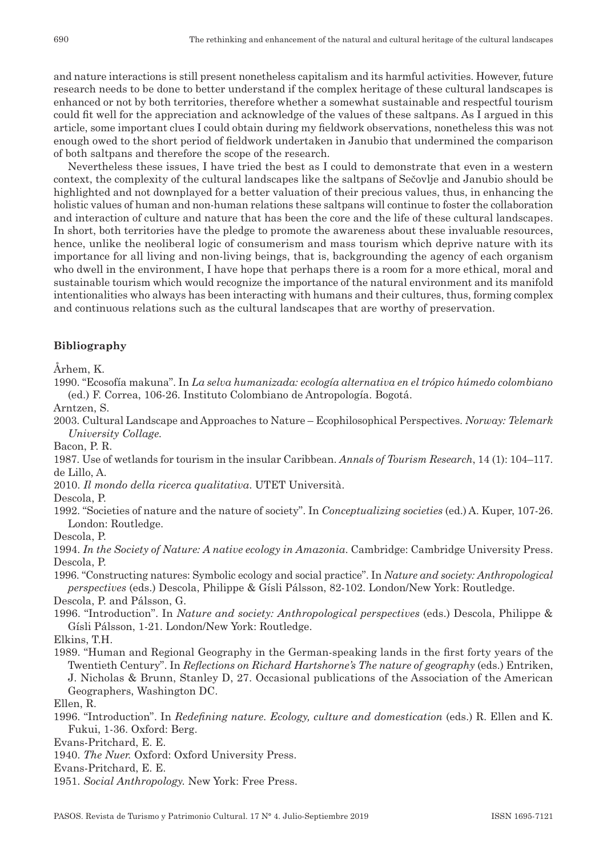and nature interactions is still present nonetheless capitalism and its harmful activities. However, future research needs to be done to better understand if the complex heritage of these cultural landscapes is enhanced or not by both territories, therefore whether a somewhat sustainable and respectful tourism could fit well for the appreciation and acknowledge of the values of these saltpans. As I argued in this article, some important clues I could obtain during my fieldwork observations, nonetheless this was not enough owed to the short period of fieldwork undertaken in Janubio that undermined the comparison of both saltpans and therefore the scope of the research.

Nevertheless these issues, I have tried the best as I could to demonstrate that even in a western context, the complexity of the cultural landscapes like the saltpans of Sečovlje and Janubio should be highlighted and not downplayed for a better valuation of their precious values, thus, in enhancing the holistic values of human and non-human relations these saltpans will continue to foster the collaboration and interaction of culture and nature that has been the core and the life of these cultural landscapes. In short, both territories have the pledge to promote the awareness about these invaluable resources, hence, unlike the neoliberal logic of consumerism and mass tourism which deprive nature with its importance for all living and non-living beings, that is, backgrounding the agency of each organism who dwell in the environment, I have hope that perhaps there is a room for a more ethical, moral and sustainable tourism which would recognize the importance of the natural environment and its manifold intentionalities who always has been interacting with humans and their cultures, thus, forming complex and continuous relations such as the cultural landscapes that are worthy of preservation.

#### **Bibliography**

Århem, K.

1990. "Ecosofía makuna". In *La selva humanizada: ecología alternativa en el trópico húmedo colombiano* (ed.) F. Correa, 106‑26. Instituto Colombiano de Antropología. Bogotá.

Arntzen, S.

2003. Cultural Landscape and Approaches to Nature – Ecophilosophical Perspectives. *Norway: Telemark University Collage.*

Bacon, P. R.

1987. Use of wetlands for tourism in the insular Caribbean. *Annals of Tourism Research*, 14 (1): 104–117. de Lillo, A.

2010. *Il mondo della ricerca qualitativa*. UTET Università.

Descola, P.

1992. "Societies of nature and the nature of society". In *Conceptualizing societies* (ed.) A. Kuper, 107‑26. London: Routledge.

Descola, P.

1994. *In the Society of Nature: A native ecology in Amazonia*. Cambridge: Cambridge University Press. Descola, P.

1996. "Constructing natures: Symbolic ecology and social practice". In *Nature and society: Anthropological perspectives* (eds.) Descola, Philippe & Gísli Pálsson, 82‑102. London/New York: Routledge.

Descola, P. and Pálsson, G.

1996. "Introduction". In *Nature and society: Anthropological perspectives* (eds.) Descola, Philippe & Gísli Pálsson, 1‑21. London/New York: Routledge.

1989. "Human and Regional Geography in the German‑speaking lands in the first forty years of the Twentieth Century". In *Reflections on Richard Hartshorne's The nature of geography* (eds.) Entriken, J. Nicholas & Brunn, Stanley D, 27. Occasional publications of the Association of the American Geographers, Washington DC.

Ellen, R.

1996. "Introduction". In *Redefining nature. Ecology, culture and domestication* (eds.) R. Ellen and K. Fukui, 1‑36. Oxford: Berg.

Evans‑Pritchard, E. E.

1940. *The Nuer.* Oxford: Oxford University Press.

Evans‑Pritchard, E. E.

1951. *Social Anthropology.* New York: Free Press.

Elkins, T.H.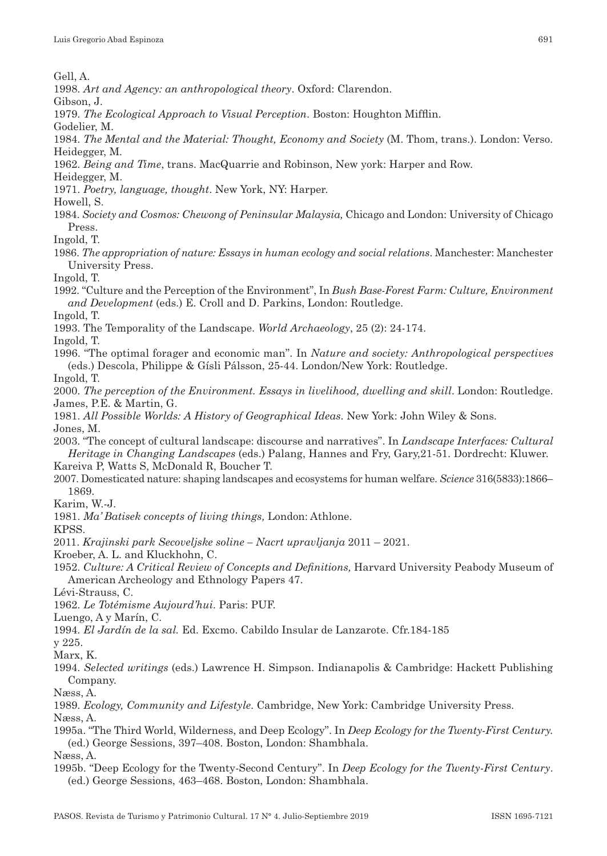Gell, A.

1998. *Art and Agency: an anthropological theory*. Oxford: Clarendon.

Gibson, J.

1979. *The Ecological Approach to Visual Perception*. Boston: Houghton Mifflin.

Godelier, M.

- 1984. *The Mental and the Material: Thought, Economy and Society* (M. Thom, trans.). London: Verso. Heidegger, M*.*
- 1962. *Being and Time*, trans. MacQuarrie and Robinson, New york: Harper and Row.

Heidegger, M.

1971. *Poetry, language, thought*. New York, NY: Harper.

Howell, S.

1984. *Society and Cosmos: Chewong of Peninsular Malaysia,* Chicago and London: University of Chicago Press.

Ingold, T.

1986. *The appropriation of nature: Essays in human ecology and social relations*. Manchester: Manchester University Press.

Ingold, T.

1992. "Culture and the Perception of the Environment", In *Bush Base‑Forest Farm: Culture, Environment and Development* (eds.) E. Croll and D. Parkins, London: Routledge.

Ingold, T.

1993. The Temporality of the Landscape. *World Archaeology*, 25 (2): 24-174.

Ingold, T.

1996. "The optimal forager and economic man". In *Nature and society: Anthropological perspectives* (eds.) Descola, Philippe & Gísli Pálsson, 25‑44. London/New York: Routledge.

Ingold, T.

2000. *The perception of the Environment. Essays in livelihood, dwelling and skill*. London: Routledge. James, P.E. & Martin, G.

- 1981. *All Possible Worlds: A History of Geographical Ideas*. New York: John Wiley & Sons. Jones, M.
- 2003. "The concept of cultural landscape: discourse and narratives". In *Landscape Interfaces: Cultural Heritage in Changing Landscapes* (eds.) Palang, Hannes and Fry, Gary,21‑51. Dordrecht: Kluwer.

Kareiva P, Watts S, McDonald R, Boucher T.

2007. Domesticated nature: shaping landscapes and ecosystems for human welfare. *Science* 316(5833):1866– 1869.

Karim, W.‑J.

1981. *Ma' Batisek concepts of living things,* London: Athlone.

KPSS.

2011. *Krajinski park Secoveljske soline – Nacrt upravljanja* 2011 – 2021.

Kroeber, A. L. and Kluckhohn, C.

1952. *Culture: A Critical Review of Concepts and Definitions,* Harvard University Peabody Museum of American Archeology and Ethnology Papers 47.

Lévi‑Strauss, C.

1962. *Le Totémisme Aujourd'hui*. Paris: PUF.

Luengo, A y Marín, C.

1994. *El Jardín de la sal.* Ed. Excmo. Cabildo Insular de Lanzarote. Cfr.184-185

y 225.

- Marx, K.
- 1994. *Selected writings* (eds.) Lawrence H. Simpson. Indianapolis & Cambridge: Hackett Publishing Company.

Næss, A.

1989. *Ecology, Community and Lifestyle*. Cambridge, New York: Cambridge University Press.

Næss, A.

1995a. "The Third World, Wilderness, and Deep Ecology". In *Deep Ecology for the Twenty‑First Century.* (ed.) George Sessions, 397–408. Boston, London: Shambhala.

Næss, A.

1995b. "Deep Ecology for the Twenty‑Second Century". In *Deep Ecology for the Twenty‑First Century*. (ed.) George Sessions, 463–468. Boston, London: Shambhala.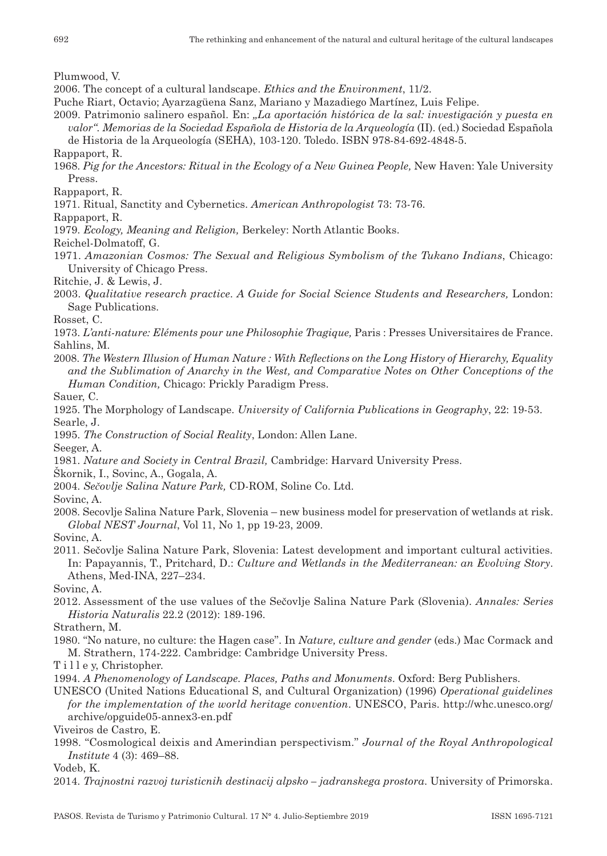Plumwood, V.

- 2006. The concept of a cultural landscape. *Ethics and the Environment*, 11/2.
- Puche Riart, Octavio; Ayarzagüena Sanz, Mariano y Mazadiego Martínez, Luis Felipe.
- 2009. Patrimonio salinero español. En: *"La aportación histórica de la sal: investigación y puesta en valor". Memorias de la Sociedad Española de Historia de la Arqueología* (II). (ed.) Sociedad Española de Historia de la Arqueología (SEHA), 103‑120. Toledo. ISBN 978‑84‑692‑4848‑5.
- Rappaport, R.
- 1968. *Pig for the Ancestors: Ritual in the Ecology of a New Guinea People,* New Haven: Yale University Press.
- Rappaport, R.
- 1971. Ritual, Sanctity and Cybernetics. *American Anthropologist* 73: 73‑76.

Rappaport, R.

1979. *Ecology, Meaning and Religion,* Berkeley: North Atlantic Books.

Reichel‑Dolmatoff, G.

- 1971. *Amazonian Cosmos: The Sexual and Religious Symbolism of the Tukano Indians*, Chicago: University of Chicago Press.
- Ritchie, J. & Lewis, J.
- 2003. *Qualitative research practice*. *A Guide for Social Science Students and Researchers,* London: Sage Publications.
- Rosset, C.
- 1973. *L'anti‑nature: Eléments pour une Philosophie Tragique,* Paris : Presses Universitaires de France. Sahlins, M.
- 2008. *The Western Illusion of Human Nature : With Reflections on the Long History of Hierarchy, Equality and the Sublimation of Anarchy in the West, and Comparative Notes on Other Conceptions of the Human Condition,* Chicago: Prickly Paradigm Press.

Sauer, C.

- 1925. The Morphology of Landscape. *University of California Publications in Geography*, 22: 19‑53. Searle, J.
- 1995. *The Construction of Social Reality*, London: Allen Lane.

Seeger, A.

1981. *Nature and Society in Central Brazil,* Cambridge: Harvard University Press.

- Škornik, I., Sovinc, A., Gogala, A.
- 2004. *Sečovlje Salina Nature Park,* CD‑ROM, Soline Co. Ltd.

Sovinc, A.

- 2008. Secovlje Salina Nature Park, Slovenia new business model for preservation of wetlands at risk. *Global NEST Journal*, Vol 11, No 1, pp 19‑23, 2009.
- Sovinc, A.
- 2011. Sečovlje Salina Nature Park, Slovenia: Latest development and important cultural activities. In: Papayannis, T., Pritchard, D.: *Culture and Wetlands in the Mediterranean: an Evolving Story*. Athens, Med-INA, 227-234.

Sovinc, A.

- 2012. Assessment of the use values of the Sečovlje Salina Nature Park (Slovenia). *Annales: Series Historia Naturalis* 22.2 (2012): 189‑196.
- Strathern, M.
- 1980. "No nature, no culture: the Hagen case". In *Nature, culture and gender* (eds.) Mac Cormack and M. Strathern, 174‑222. Cambridge: Cambridge University Press.
- T i l l e y, Christopher.
- 1994. *A Phenomenology of Landscape. Places, Paths and Monuments*. Oxford: Berg Publishers.
- UNESCO (United Nations Educational S, and Cultural Organization) (1996) *Operational guidelines for the implementation of the world heritage convention*. UNESCO, Paris. http://whc.unesco.org/ archive/opguide05‑annex3‑en.pdf

Viveiros de Castro, E.

1998. "Cosmological deixis and Amerindian perspectivism." *Journal of the Royal Anthropological Institute* 4 (3): 469–88.

Vodeb, K.

2014. *Trajnostni razvoj turisticnih destinacij alpsko – jadranskega prostora*. University of Primorska.